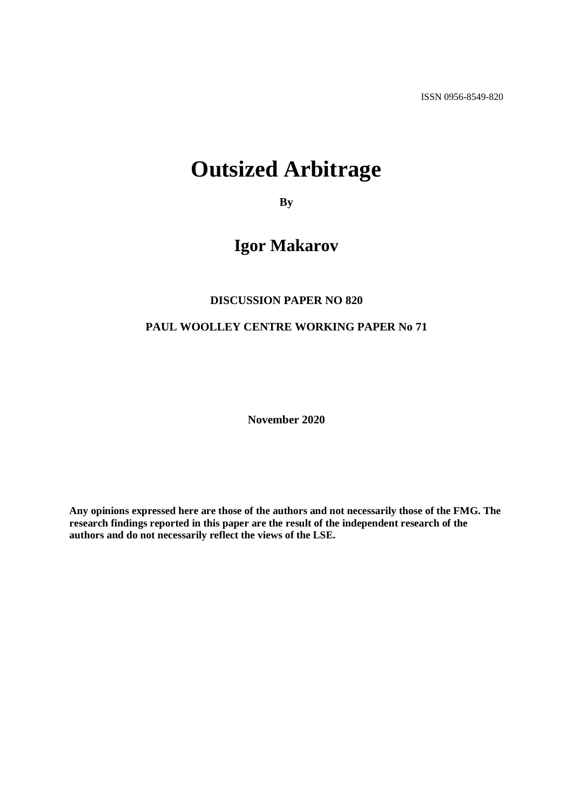ISSN 0956-8549-820

# **Outsized Arbitrage**

**By**

# **Igor Makarov**

#### **DISCUSSION PAPER NO 820**

#### **PAUL WOOLLEY CENTRE WORKING PAPER No 71**

**November 2020**

**Any opinions expressed here are those of the authors and not necessarily those of the FMG. The research findings reported in this paper are the result of the independent research of the authors and do not necessarily reflect the views of the LSE.**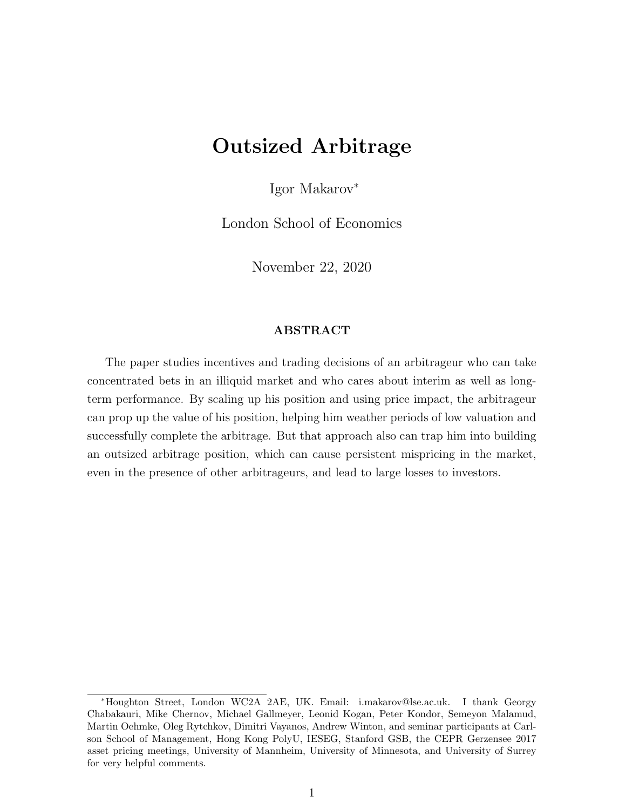# Outsized Arbitrage

Igor Makarov<sup>∗</sup>

London School of Economics

November 22, 2020

#### ABSTRACT

The paper studies incentives and trading decisions of an arbitrageur who can take concentrated bets in an illiquid market and who cares about interim as well as longterm performance. By scaling up his position and using price impact, the arbitrageur can prop up the value of his position, helping him weather periods of low valuation and successfully complete the arbitrage. But that approach also can trap him into building an outsized arbitrage position, which can cause persistent mispricing in the market, even in the presence of other arbitrageurs, and lead to large losses to investors.

<sup>∗</sup>Houghton Street, London WC2A 2AE, UK. Email: i.makarov@lse.ac.uk. I thank Georgy Chabakauri, Mike Chernov, Michael Gallmeyer, Leonid Kogan, Peter Kondor, Semeyon Malamud, Martin Oehmke, Oleg Rytchkov, Dimitri Vayanos, Andrew Winton, and seminar participants at Carlson School of Management, Hong Kong PolyU, IESEG, Stanford GSB, the CEPR Gerzensee 2017 asset pricing meetings, University of Mannheim, University of Minnesota, and University of Surrey for very helpful comments.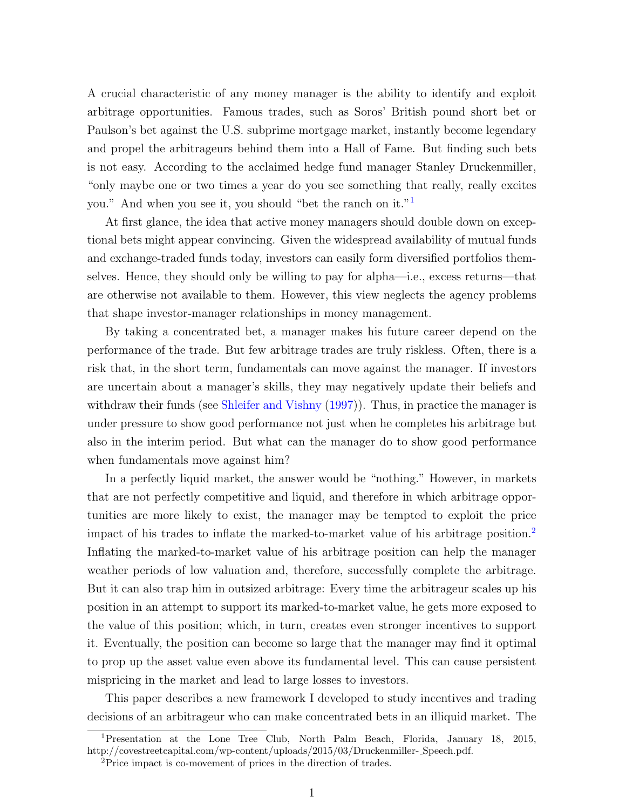A crucial characteristic of any money manager is the ability to identify and exploit arbitrage opportunities. Famous trades, such as Soros' British pound short bet or Paulson's bet against the U.S. subprime mortgage market, instantly become legendary and propel the arbitrageurs behind them into a Hall of Fame. But finding such bets is not easy. According to the acclaimed hedge fund manager Stanley Druckenmiller, "only maybe one or two times a year do you see something that really, really excites you." And when you see it, you should "bet the ranch on it."[1](#page-2-0)

At first glance, the idea that active money managers should double down on exceptional bets might appear convincing. Given the widespread availability of mutual funds and exchange-traded funds today, investors can easily form diversified portfolios themselves. Hence, they should only be willing to pay for alpha—i.e., excess returns—that are otherwise not available to them. However, this view neglects the agency problems that shape investor-manager relationships in money management.

By taking a concentrated bet, a manager makes his future career depend on the performance of the trade. But few arbitrage trades are truly riskless. Often, there is a risk that, in the short term, fundamentals can move against the manager. If investors are uncertain about a manager's skills, they may negatively update their beliefs and withdraw their funds (see [Shleifer and Vishny](#page-27-0) [\(1997\)](#page-27-0)). Thus, in practice the manager is under pressure to show good performance not just when he completes his arbitrage but also in the interim period. But what can the manager do to show good performance when fundamentals move against him?

In a perfectly liquid market, the answer would be "nothing." However, in markets that are not perfectly competitive and liquid, and therefore in which arbitrage opportunities are more likely to exist, the manager may be tempted to exploit the price impact of his trades to inflate the marked-to-market value of his arbitrage position.[2](#page-2-1) Inflating the marked-to-market value of his arbitrage position can help the manager weather periods of low valuation and, therefore, successfully complete the arbitrage. But it can also trap him in outsized arbitrage: Every time the arbitrageur scales up his position in an attempt to support its marked-to-market value, he gets more exposed to the value of this position; which, in turn, creates even stronger incentives to support it. Eventually, the position can become so large that the manager may find it optimal to prop up the asset value even above its fundamental level. This can cause persistent mispricing in the market and lead to large losses to investors.

This paper describes a new framework I developed to study incentives and trading decisions of an arbitrageur who can make concentrated bets in an illiquid market. The

<span id="page-2-0"></span><sup>1</sup>Presentation at the Lone Tree Club, North Palm Beach, Florida, January 18, 2015, http://covestreetcapital.com/wp-content/uploads/2015/03/Druckenmiller- Speech.pdf.

<span id="page-2-1"></span><sup>2</sup>Price impact is co-movement of prices in the direction of trades.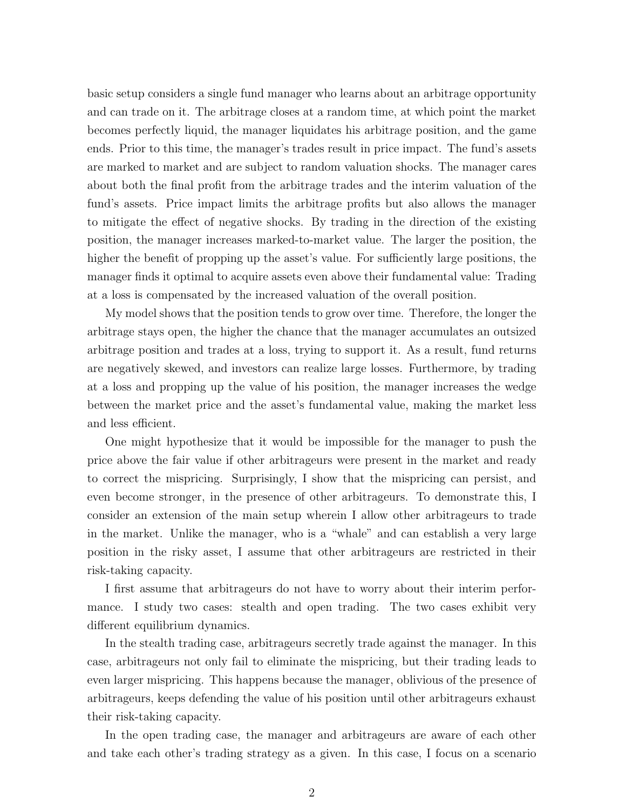basic setup considers a single fund manager who learns about an arbitrage opportunity and can trade on it. The arbitrage closes at a random time, at which point the market becomes perfectly liquid, the manager liquidates his arbitrage position, and the game ends. Prior to this time, the manager's trades result in price impact. The fund's assets are marked to market and are subject to random valuation shocks. The manager cares about both the final profit from the arbitrage trades and the interim valuation of the fund's assets. Price impact limits the arbitrage profits but also allows the manager to mitigate the effect of negative shocks. By trading in the direction of the existing position, the manager increases marked-to-market value. The larger the position, the higher the benefit of propping up the asset's value. For sufficiently large positions, the manager finds it optimal to acquire assets even above their fundamental value: Trading at a loss is compensated by the increased valuation of the overall position.

My model shows that the position tends to grow over time. Therefore, the longer the arbitrage stays open, the higher the chance that the manager accumulates an outsized arbitrage position and trades at a loss, trying to support it. As a result, fund returns are negatively skewed, and investors can realize large losses. Furthermore, by trading at a loss and propping up the value of his position, the manager increases the wedge between the market price and the asset's fundamental value, making the market less and less efficient.

One might hypothesize that it would be impossible for the manager to push the price above the fair value if other arbitrageurs were present in the market and ready to correct the mispricing. Surprisingly, I show that the mispricing can persist, and even become stronger, in the presence of other arbitrageurs. To demonstrate this, I consider an extension of the main setup wherein I allow other arbitrageurs to trade in the market. Unlike the manager, who is a "whale" and can establish a very large position in the risky asset, I assume that other arbitrageurs are restricted in their risk-taking capacity.

I first assume that arbitrageurs do not have to worry about their interim performance. I study two cases: stealth and open trading. The two cases exhibit very different equilibrium dynamics.

In the stealth trading case, arbitrageurs secretly trade against the manager. In this case, arbitrageurs not only fail to eliminate the mispricing, but their trading leads to even larger mispricing. This happens because the manager, oblivious of the presence of arbitrageurs, keeps defending the value of his position until other arbitrageurs exhaust their risk-taking capacity.

In the open trading case, the manager and arbitrageurs are aware of each other and take each other's trading strategy as a given. In this case, I focus on a scenario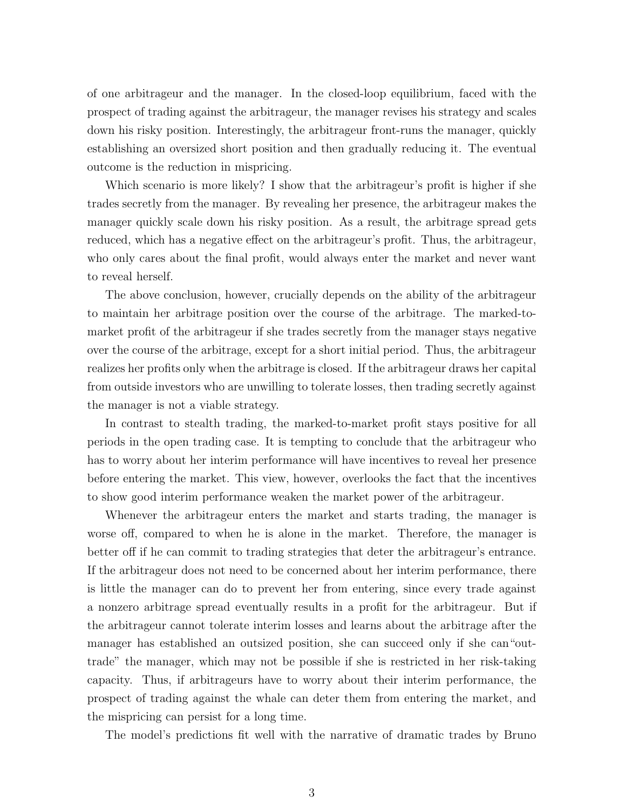of one arbitrageur and the manager. In the closed-loop equilibrium, faced with the prospect of trading against the arbitrageur, the manager revises his strategy and scales down his risky position. Interestingly, the arbitrageur front-runs the manager, quickly establishing an oversized short position and then gradually reducing it. The eventual outcome is the reduction in mispricing.

Which scenario is more likely? I show that the arbitrageur's profit is higher if she trades secretly from the manager. By revealing her presence, the arbitrageur makes the manager quickly scale down his risky position. As a result, the arbitrage spread gets reduced, which has a negative effect on the arbitrageur's profit. Thus, the arbitrageur, who only cares about the final profit, would always enter the market and never want to reveal herself.

The above conclusion, however, crucially depends on the ability of the arbitrageur to maintain her arbitrage position over the course of the arbitrage. The marked-tomarket profit of the arbitrageur if she trades secretly from the manager stays negative over the course of the arbitrage, except for a short initial period. Thus, the arbitrageur realizes her profits only when the arbitrage is closed. If the arbitrageur draws her capital from outside investors who are unwilling to tolerate losses, then trading secretly against the manager is not a viable strategy.

In contrast to stealth trading, the marked-to-market profit stays positive for all periods in the open trading case. It is tempting to conclude that the arbitrageur who has to worry about her interim performance will have incentives to reveal her presence before entering the market. This view, however, overlooks the fact that the incentives to show good interim performance weaken the market power of the arbitrageur.

Whenever the arbitrageur enters the market and starts trading, the manager is worse off, compared to when he is alone in the market. Therefore, the manager is better off if he can commit to trading strategies that deter the arbitrageur's entrance. If the arbitrageur does not need to be concerned about her interim performance, there is little the manager can do to prevent her from entering, since every trade against a nonzero arbitrage spread eventually results in a profit for the arbitrageur. But if the arbitrageur cannot tolerate interim losses and learns about the arbitrage after the manager has established an outsized position, she can succeed only if she can"outtrade" the manager, which may not be possible if she is restricted in her risk-taking capacity. Thus, if arbitrageurs have to worry about their interim performance, the prospect of trading against the whale can deter them from entering the market, and the mispricing can persist for a long time.

The model's predictions fit well with the narrative of dramatic trades by Bruno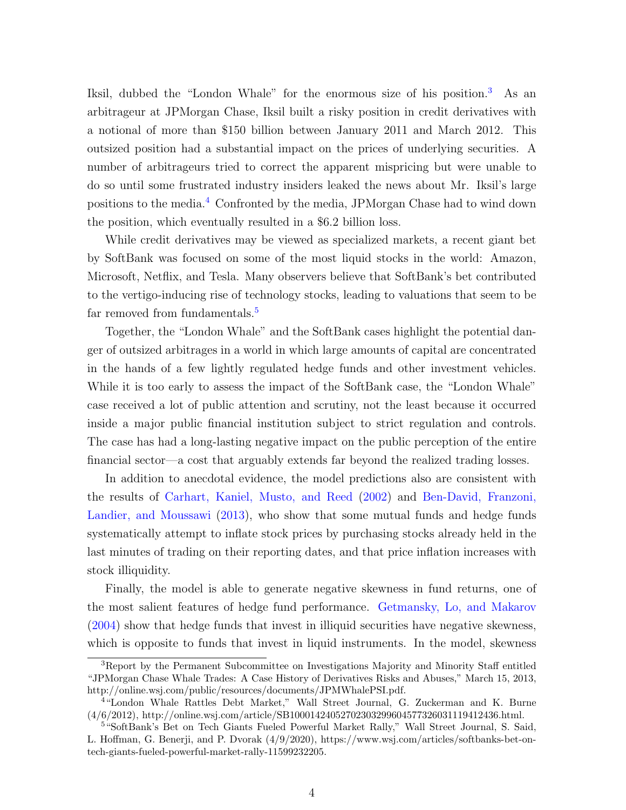Iksil, dubbed the "London Whale" for the enormous size of his position.<sup>[3](#page-5-0)</sup> As an arbitrageur at JPMorgan Chase, Iksil built a risky position in credit derivatives with a notional of more than \$150 billion between January 2011 and March 2012. This outsized position had a substantial impact on the prices of underlying securities. A number of arbitrageurs tried to correct the apparent mispricing but were unable to do so until some frustrated industry insiders leaked the news about Mr. Iksil's large positions to the media.[4](#page-5-1) Confronted by the media, JPMorgan Chase had to wind down the position, which eventually resulted in a \$6.2 billion loss.

While credit derivatives may be viewed as specialized markets, a recent giant bet by SoftBank was focused on some of the most liquid stocks in the world: Amazon, Microsoft, Netflix, and Tesla. Many observers believe that SoftBank's bet contributed to the vertigo-inducing rise of technology stocks, leading to valuations that seem to be far removed from fundamentals.<sup>[5](#page-5-2)</sup>

Together, the "London Whale" and the SoftBank cases highlight the potential danger of outsized arbitrages in a world in which large amounts of capital are concentrated in the hands of a few lightly regulated hedge funds and other investment vehicles. While it is too early to assess the impact of the SoftBank case, the "London Whale" case received a lot of public attention and scrutiny, not the least because it occurred inside a major public financial institution subject to strict regulation and controls. The case has had a long-lasting negative impact on the public perception of the entire financial sector—a cost that arguably extends far beyond the realized trading losses.

In addition to anecdotal evidence, the model predictions also are consistent with the results of [Carhart, Kaniel, Musto, and Reed](#page-26-0) [\(2002\)](#page-26-0) and [Ben-David, Franzoni,](#page-26-1) [Landier, and Moussawi](#page-26-1) [\(2013\)](#page-26-1), who show that some mutual funds and hedge funds systematically attempt to inflate stock prices by purchasing stocks already held in the last minutes of trading on their reporting dates, and that price inflation increases with stock illiquidity.

Finally, the model is able to generate negative skewness in fund returns, one of the most salient features of hedge fund performance. [Getmansky, Lo, and Makarov](#page-27-1) [\(2004\)](#page-27-1) show that hedge funds that invest in illiquid securities have negative skewness, which is opposite to funds that invest in liquid instruments. In the model, skewness

<span id="page-5-0"></span><sup>3</sup>Report by the Permanent Subcommittee on Investigations Majority and Minority Staff entitled "JPMorgan Chase Whale Trades: A Case History of Derivatives Risks and Abuses," March 15, 2013, http://online.wsj.com/public/resources/documents/JPMWhalePSI.pdf.

<span id="page-5-1"></span><sup>&</sup>lt;sup>4</sup>"London Whale Rattles Debt Market," Wall Street Journal, G. Zuckerman and K. Burne (4/6/2012), http://online.wsj.com/article/SB10001424052702303299604577326031119412436.html.

<span id="page-5-2"></span><sup>5</sup>"SoftBank's Bet on Tech Giants Fueled Powerful Market Rally," Wall Street Journal, S. Said, L. Hoffman, G. Benerji, and P. Dvorak (4/9/2020), https://www.wsj.com/articles/softbanks-bet-ontech-giants-fueled-powerful-market-rally-11599232205.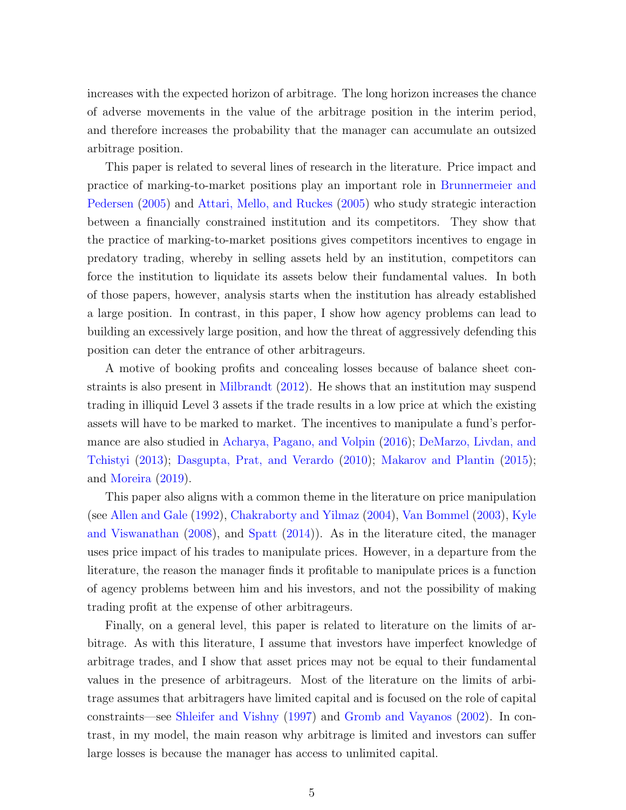increases with the expected horizon of arbitrage. The long horizon increases the chance of adverse movements in the value of the arbitrage position in the interim period, and therefore increases the probability that the manager can accumulate an outsized arbitrage position.

This paper is related to several lines of research in the literature. Price impact and practice of marking-to-market positions play an important role in [Brunnermeier and](#page-26-2) [Pedersen](#page-26-2) [\(2005\)](#page-26-2) and [Attari, Mello, and Ruckes](#page-26-3) [\(2005\)](#page-26-3) who study strategic interaction between a financially constrained institution and its competitors. They show that the practice of marking-to-market positions gives competitors incentives to engage in predatory trading, whereby in selling assets held by an institution, competitors can force the institution to liquidate its assets below their fundamental values. In both of those papers, however, analysis starts when the institution has already established a large position. In contrast, in this paper, I show how agency problems can lead to building an excessively large position, and how the threat of aggressively defending this position can deter the entrance of other arbitrageurs.

A motive of booking profits and concealing losses because of balance sheet constraints is also present in [Milbrandt](#page-27-2) [\(2012\)](#page-27-2). He shows that an institution may suspend trading in illiquid Level 3 assets if the trade results in a low price at which the existing assets will have to be marked to market. The incentives to manipulate a fund's performance are also studied in [Acharya, Pagano, and Volpin](#page-26-4) [\(2016\)](#page-26-4); [DeMarzo, Livdan, and](#page-26-5) [Tchistyi](#page-26-5) [\(2013\)](#page-26-5); [Dasgupta, Prat, and Verardo](#page-26-6) [\(2010\)](#page-26-6); [Makarov and Plantin](#page-27-3) [\(2015\)](#page-27-3); and [Moreira](#page-27-4) [\(2019\)](#page-27-4).

This paper also aligns with a common theme in the literature on price manipulation (see [Allen and Gale](#page-26-7) [\(1992\)](#page-26-7), [Chakraborty and Yilmaz](#page-26-8) [\(2004\)](#page-26-8), [Van Bommel](#page-27-5) [\(2003\)](#page-27-5), [Kyle](#page-27-6) [and Viswanathan](#page-27-6) [\(2008\)](#page-27-6), and [Spatt](#page-27-7) [\(2014\)](#page-27-7)). As in the literature cited, the manager uses price impact of his trades to manipulate prices. However, in a departure from the literature, the reason the manager finds it profitable to manipulate prices is a function of agency problems between him and his investors, and not the possibility of making trading profit at the expense of other arbitrageurs.

Finally, on a general level, this paper is related to literature on the limits of arbitrage. As with this literature, I assume that investors have imperfect knowledge of arbitrage trades, and I show that asset prices may not be equal to their fundamental values in the presence of arbitrageurs. Most of the literature on the limits of arbitrage assumes that arbitragers have limited capital and is focused on the role of capital constraints—see [Shleifer and Vishny](#page-27-0) [\(1997\)](#page-27-0) and [Gromb and Vayanos](#page-27-8) [\(2002\)](#page-27-8). In contrast, in my model, the main reason why arbitrage is limited and investors can suffer large losses is because the manager has access to unlimited capital.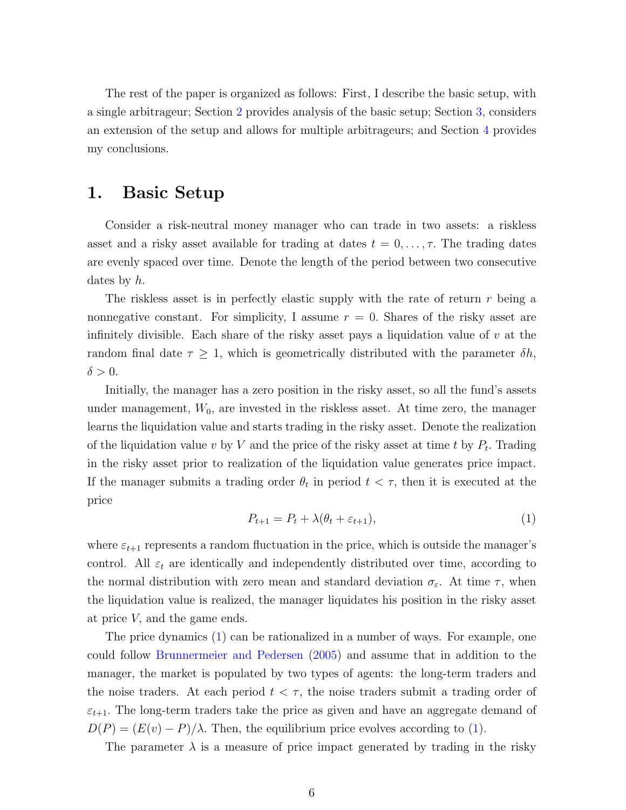The rest of the paper is organized as follows: First, I describe the basic setup, with a single arbitrageur; Section [2](#page-9-0) provides analysis of the basic setup; Section [3,](#page-15-0) considers an extension of the setup and allows for multiple arbitrageurs; and Section [4](#page-25-0) provides my conclusions.

### <span id="page-7-1"></span>1. Basic Setup

Consider a risk-neutral money manager who can trade in two assets: a riskless asset and a risky asset available for trading at dates  $t = 0, \ldots, \tau$ . The trading dates are evenly spaced over time. Denote the length of the period between two consecutive dates by  $h$ .

The riskless asset is in perfectly elastic supply with the rate of return  $r$  being a nonnegative constant. For simplicity, I assume  $r = 0$ . Shares of the risky asset are infinitely divisible. Each share of the risky asset pays a liquidation value of  $v$  at the random final date  $\tau \geq 1$ , which is geometrically distributed with the parameter  $\delta h$ ,  $\delta > 0$ .

Initially, the manager has a zero position in the risky asset, so all the fund's assets under management,  $W_0$ , are invested in the riskless asset. At time zero, the manager learns the liquidation value and starts trading in the risky asset. Denote the realization of the liquidation value v by V and the price of the risky asset at time t by  $P_t$ . Trading in the risky asset prior to realization of the liquidation value generates price impact. If the manager submits a trading order  $\theta_t$  in period  $t < \tau$ , then it is executed at the price

<span id="page-7-0"></span>
$$
P_{t+1} = P_t + \lambda(\theta_t + \varepsilon_{t+1}),\tag{1}
$$

where  $\varepsilon_{t+1}$  represents a random fluctuation in the price, which is outside the manager's control. All  $\varepsilon_t$  are identically and independently distributed over time, according to the normal distribution with zero mean and standard deviation  $\sigma_{\varepsilon}$ . At time  $\tau$ , when the liquidation value is realized, the manager liquidates his position in the risky asset at price V, and the game ends.

The price dynamics [\(1\)](#page-7-0) can be rationalized in a number of ways. For example, one could follow [Brunnermeier and Pedersen](#page-26-2) [\(2005\)](#page-26-2) and assume that in addition to the manager, the market is populated by two types of agents: the long-term traders and the noise traders. At each period  $t < \tau$ , the noise traders submit a trading order of  $\varepsilon_{t+1}$ . The long-term traders take the price as given and have an aggregate demand of  $D(P) = (E(v) - P)/\lambda$ . Then, the equilibrium price evolves according to [\(1\)](#page-7-0).

The parameter  $\lambda$  is a measure of price impact generated by trading in the risky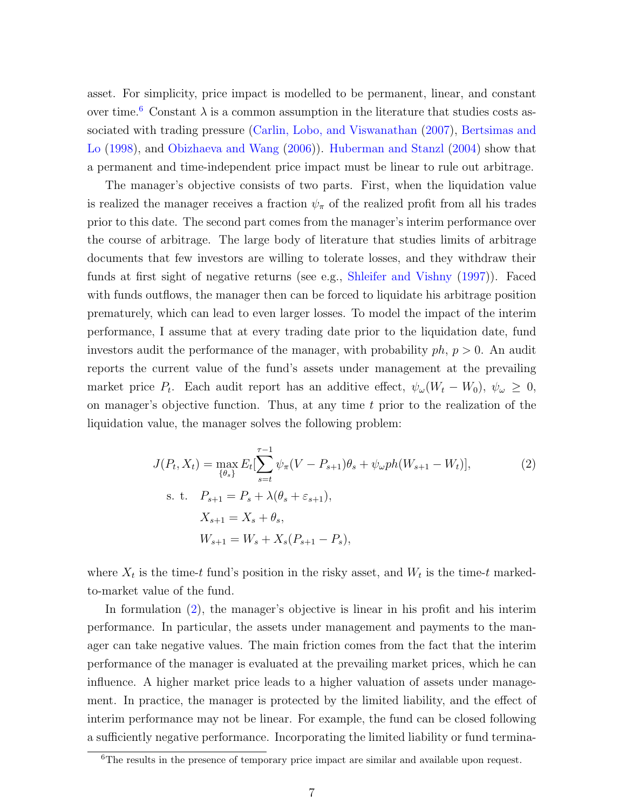asset. For simplicity, price impact is modelled to be permanent, linear, and constant over time.<sup>[6](#page-8-0)</sup> Constant  $\lambda$  is a common assumption in the literature that studies costs associated with trading pressure [\(Carlin, Lobo, and Viswanathan](#page-26-9) [\(2007\)](#page-26-9), [Bertsimas and](#page-26-10) [Lo](#page-26-10) [\(1998\)](#page-26-10), and [Obizhaeva and Wang](#page-27-9) [\(2006\)](#page-27-9)). [Huberman and Stanzl](#page-27-10) [\(2004\)](#page-27-10) show that a permanent and time-independent price impact must be linear to rule out arbitrage.

The manager's objective consists of two parts. First, when the liquidation value is realized the manager receives a fraction  $\psi_{\pi}$  of the realized profit from all his trades prior to this date. The second part comes from the manager's interim performance over the course of arbitrage. The large body of literature that studies limits of arbitrage documents that few investors are willing to tolerate losses, and they withdraw their funds at first sight of negative returns (see e.g., [Shleifer and Vishny](#page-27-0) [\(1997\)](#page-27-0)). Faced with funds outflows, the manager then can be forced to liquidate his arbitrage position prematurely, which can lead to even larger losses. To model the impact of the interim performance, I assume that at every trading date prior to the liquidation date, fund investors audit the performance of the manager, with probability  $ph, p > 0$ . An audit reports the current value of the fund's assets under management at the prevailing market price  $P_t$ . Each audit report has an additive effect,  $\psi_\omega(W_t - W_0)$ ,  $\psi_\omega \geq 0$ , on manager's objective function. Thus, at any time  $t$  prior to the realization of the liquidation value, the manager solves the following problem:

<span id="page-8-1"></span>
$$
J(P_t, X_t) = \max_{\{\theta_s\}} E_t[\sum_{s=t}^{\tau-1} \psi_\pi (V - P_{s+1})\theta_s + \psi_\omega ph(W_{s+1} - W_t)],
$$
  
s. t.  $P_{s+1} = P_s + \lambda(\theta_s + \varepsilon_{s+1}),$   

$$
X_{s+1} = X_s + \theta_s,
$$
  

$$
W_{s+1} = W_s + X_s(P_{s+1} - P_s),
$$
 (2)

where  $X_t$  is the time-t fund's position in the risky asset, and  $W_t$  is the time-t markedto-market value of the fund.

In formulation [\(2\)](#page-8-1), the manager's objective is linear in his profit and his interim performance. In particular, the assets under management and payments to the manager can take negative values. The main friction comes from the fact that the interim performance of the manager is evaluated at the prevailing market prices, which he can influence. A higher market price leads to a higher valuation of assets under management. In practice, the manager is protected by the limited liability, and the effect of interim performance may not be linear. For example, the fund can be closed following a sufficiently negative performance. Incorporating the limited liability or fund termina-

<span id="page-8-0"></span><sup>&</sup>lt;sup>6</sup>The results in the presence of temporary price impact are similar and available upon request.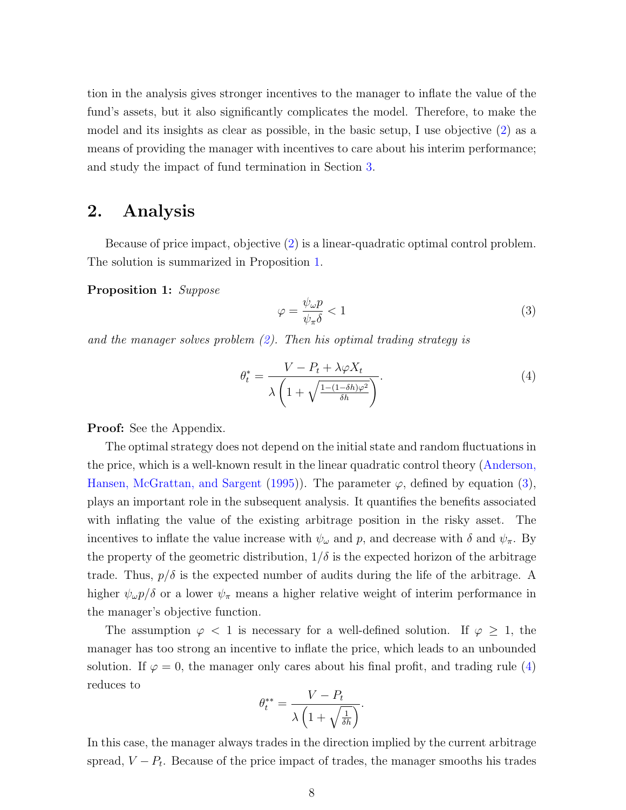tion in the analysis gives stronger incentives to the manager to inflate the value of the fund's assets, but it also significantly complicates the model. Therefore, to make the model and its insights as clear as possible, in the basic setup, I use objective [\(2\)](#page-8-1) as a means of providing the manager with incentives to care about his interim performance; and study the impact of fund termination in Section [3.](#page-15-0)

### <span id="page-9-0"></span>2. Analysis

Because of price impact, objective [\(2\)](#page-8-1) is a linear-quadratic optimal control problem. The solution is summarized in Proposition [1.](#page-9-1)

Proposition 1: Suppose

<span id="page-9-2"></span><span id="page-9-1"></span>
$$
\varphi = \frac{\psi_{\omega} p}{\psi_{\pi}\delta} < 1\tag{3}
$$

and the manager solves problem  $(2)$ . Then his optimal trading strategy is

<span id="page-9-3"></span>
$$
\theta_t^* = \frac{V - P_t + \lambda \varphi X_t}{\lambda \left( 1 + \sqrt{\frac{1 - (1 - \delta h)\varphi^2}{\delta h}} \right)}.
$$
\n(4)

#### Proof: See the Appendix.

The optimal strategy does not depend on the initial state and random fluctuations in the price, which is a well-known result in the linear quadratic control theory [\(Anderson,](#page-26-11) [Hansen, McGrattan, and Sargent](#page-26-11) [\(1995\)](#page-26-11)). The parameter  $\varphi$ , defined by equation [\(3\)](#page-9-2), plays an important role in the subsequent analysis. It quantifies the benefits associated with inflating the value of the existing arbitrage position in the risky asset. The incentives to inflate the value increase with  $\psi_{\omega}$  and p, and decrease with  $\delta$  and  $\psi_{\pi}$ . By the property of the geometric distribution,  $1/\delta$  is the expected horizon of the arbitrage trade. Thus,  $p/\delta$  is the expected number of audits during the life of the arbitrage. A higher  $\psi_{\omega}p/\delta$  or a lower  $\psi_{\pi}$  means a higher relative weight of interim performance in the manager's objective function.

The assumption  $\varphi$  < 1 is necessary for a well-defined solution. If  $\varphi \geq 1$ , the manager has too strong an incentive to inflate the price, which leads to an unbounded solution. If  $\varphi = 0$ , the manager only cares about his final profit, and trading rule [\(4\)](#page-9-3) reduces to

$$
\theta^{**}_t = \frac{V - P_t}{\lambda \left(1 + \sqrt{\frac{1}{\delta h}}\right)}.
$$

In this case, the manager always trades in the direction implied by the current arbitrage spread,  $V - P_t$ . Because of the price impact of trades, the manager smooths his trades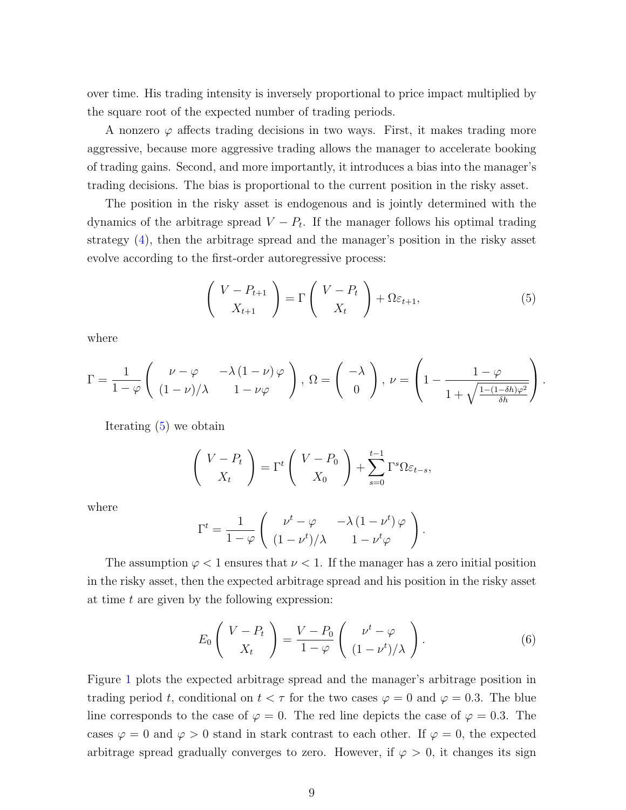over time. His trading intensity is inversely proportional to price impact multiplied by the square root of the expected number of trading periods.

A nonzero  $\varphi$  affects trading decisions in two ways. First, it makes trading more aggressive, because more aggressive trading allows the manager to accelerate booking of trading gains. Second, and more importantly, it introduces a bias into the manager's trading decisions. The bias is proportional to the current position in the risky asset.

The position in the risky asset is endogenous and is jointly determined with the dynamics of the arbitrage spread  $V - P_t$ . If the manager follows his optimal trading strategy [\(4\)](#page-9-3), then the arbitrage spread and the manager's position in the risky asset evolve according to the first-order autoregressive process:

<span id="page-10-0"></span>
$$
\begin{pmatrix} V - P_{t+1} \\ X_{t+1} \end{pmatrix} = \Gamma \begin{pmatrix} V - P_t \\ X_t \end{pmatrix} + \Omega \varepsilon_{t+1}, \tag{5}
$$

where

$$
\Gamma = \frac{1}{1 - \varphi} \begin{pmatrix} \nu - \varphi & -\lambda (1 - \nu) \varphi \\ (1 - \nu)/\lambda & 1 - \nu \varphi \end{pmatrix}, \ \Omega = \begin{pmatrix} -\lambda \\ 0 \end{pmatrix}, \ \nu = \begin{pmatrix} 1 - \frac{1 - \varphi}{1 + \sqrt{\frac{1 - (1 - \delta \hbar) \varphi^2}{\delta \hbar}}} \end{pmatrix}.
$$

Iterating [\(5\)](#page-10-0) we obtain

$$
\begin{pmatrix} V - P_t \\ X_t \end{pmatrix} = \Gamma^t \begin{pmatrix} V - P_0 \\ X_0 \end{pmatrix} + \sum_{s=0}^{t-1} \Gamma^s \Omega \varepsilon_{t-s},
$$

where

$$
\Gamma^t = \frac{1}{1 - \varphi} \left( \begin{array}{cc} \nu^t - \varphi & -\lambda \left( 1 - \nu^t \right) \varphi \\ (1 - \nu^t) / \lambda & 1 - \nu^t \varphi \end{array} \right).
$$

The assumption  $\varphi < 1$  ensures that  $\nu < 1$ . If the manager has a zero initial position in the risky asset, then the expected arbitrage spread and his position in the risky asset at time  $t$  are given by the following expression:

$$
E_0 \left( \begin{array}{c} V - P_t \\ X_t \end{array} \right) = \frac{V - P_0}{1 - \varphi} \left( \begin{array}{c} \nu^t - \varphi \\ (1 - \nu^t) / \lambda \end{array} \right). \tag{6}
$$

Figure [1](#page-11-0) plots the expected arbitrage spread and the manager's arbitrage position in trading period t, conditional on  $t < \tau$  for the two cases  $\varphi = 0$  and  $\varphi = 0.3$ . The blue line corresponds to the case of  $\varphi = 0$ . The red line depicts the case of  $\varphi = 0.3$ . The cases  $\varphi = 0$  and  $\varphi > 0$  stand in stark contrast to each other. If  $\varphi = 0$ , the expected arbitrage spread gradually converges to zero. However, if  $\varphi > 0$ , it changes its sign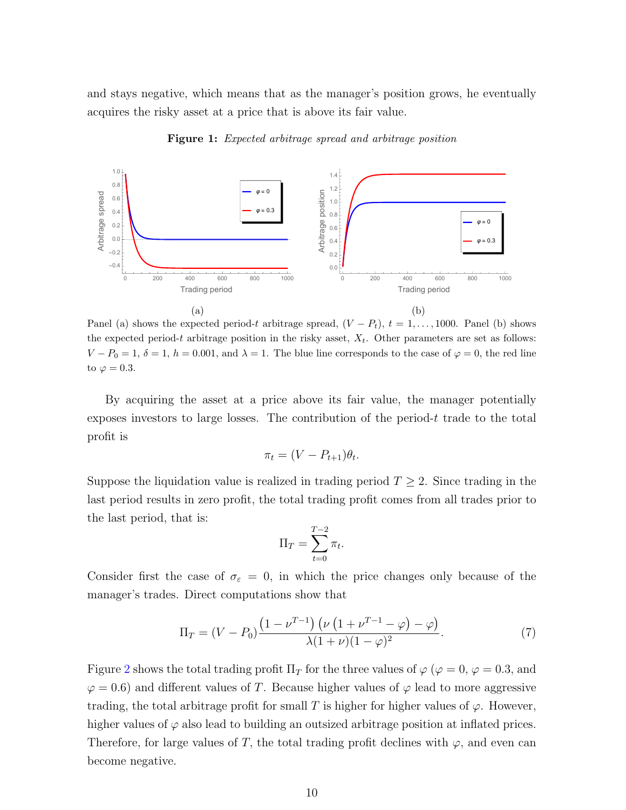<span id="page-11-0"></span>and stays negative, which means that as the manager's position grows, he eventually acquires the risky asset at a price that is above its fair value.



Figure 1: Expected arbitrage spread and arbitrage position

Panel (a) shows the expected period-t arbitrage spread,  $(V - P_t)$ ,  $t = 1, \ldots, 1000$ . Panel (b) shows the expected period-t arbitrage position in the risky asset,  $X_t$ . Other parameters are set as follows:  $V - P_0 = 1, \delta = 1, h = 0.001$ , and  $\lambda = 1$ . The blue line corresponds to the case of  $\varphi = 0$ , the red line to  $\varphi = 0.3$ .

By acquiring the asset at a price above its fair value, the manager potentially exposes investors to large losses. The contribution of the period-t trade to the total profit is

$$
\pi_t = (V - P_{t+1})\theta_t.
$$

Suppose the liquidation value is realized in trading period  $T \geq 2$ . Since trading in the last period results in zero profit, the total trading profit comes from all trades prior to the last period, that is:

$$
\Pi_T = \sum_{t=0}^{T-2} \pi_t.
$$

Consider first the case of  $\sigma_{\varepsilon} = 0$ , in which the price changes only because of the manager's trades. Direct computations show that

$$
\Pi_T = (V - P_0) \frac{\left(1 - \nu^{T-1}\right) \left(\nu \left(1 + \nu^{T-1} - \varphi\right) - \varphi\right)}{\lambda (1 + \nu)(1 - \varphi)^2}.
$$
\n(7)

Figure [2](#page-12-0) shows the total trading profit  $\Pi_T$  for the three values of  $\varphi$  ( $\varphi = 0$ ,  $\varphi = 0.3$ , and  $\varphi = 0.6$ ) and different values of T. Because higher values of  $\varphi$  lead to more aggressive trading, the total arbitrage profit for small T is higher for higher values of  $\varphi$ . However, higher values of  $\varphi$  also lead to building an outsized arbitrage position at inflated prices. Therefore, for large values of T, the total trading profit declines with  $\varphi$ , and even can become negative.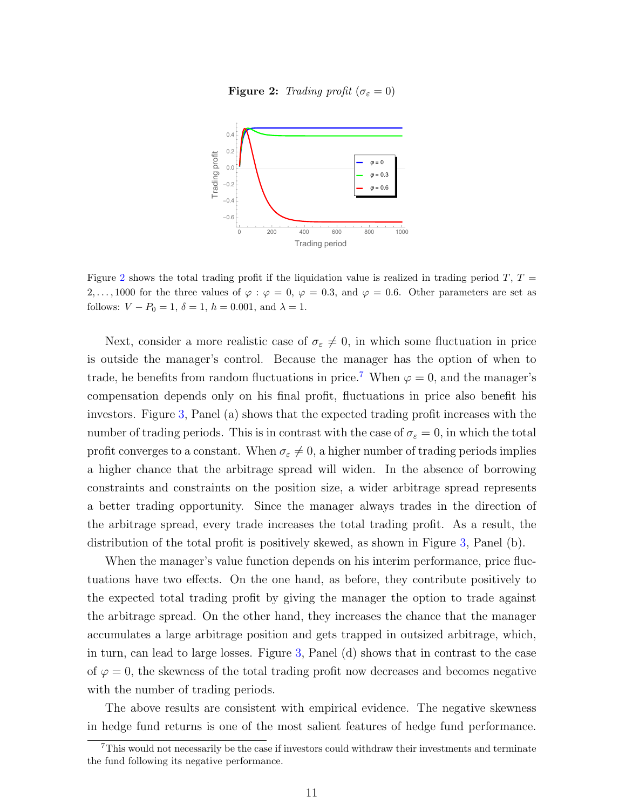**Figure 2:** Trading profit ( $\sigma_{\varepsilon} = 0$ )

<span id="page-12-0"></span>

Figure [2](#page-12-0) shows the total trading profit if the liquidation value is realized in trading period T,  $T =$ 2,..., 1000 for the three values of  $\varphi : \varphi = 0$ ,  $\varphi = 0.3$ , and  $\varphi = 0.6$ . Other parameters are set as follows:  $V - P_0 = 1$ ,  $\delta = 1$ ,  $h = 0.001$ , and  $\lambda = 1$ .

Next, consider a more realistic case of  $\sigma_{\varepsilon}\neq 0$ , in which some fluctuation in price is outside the manager's control. Because the manager has the option of when to trade, he benefits from random fluctuations in price.<sup>[7](#page-12-1)</sup> When  $\varphi = 0$ , and the manager's compensation depends only on his final profit, fluctuations in price also benefit his investors. Figure [3,](#page-13-0) Panel (a) shows that the expected trading profit increases with the number of trading periods. This is in contrast with the case of  $\sigma_{\varepsilon} = 0$ , in which the total profit converges to a constant. When  $\sigma_{\varepsilon}\neq 0$ , a higher number of trading periods implies a higher chance that the arbitrage spread will widen. In the absence of borrowing constraints and constraints on the position size, a wider arbitrage spread represents a better trading opportunity. Since the manager always trades in the direction of the arbitrage spread, every trade increases the total trading profit. As a result, the distribution of the total profit is positively skewed, as shown in Figure [3,](#page-13-0) Panel (b).

When the manager's value function depends on his interim performance, price fluctuations have two effects. On the one hand, as before, they contribute positively to the expected total trading profit by giving the manager the option to trade against the arbitrage spread. On the other hand, they increases the chance that the manager accumulates a large arbitrage position and gets trapped in outsized arbitrage, which, in turn, can lead to large losses. Figure [3,](#page-13-0) Panel (d) shows that in contrast to the case of  $\varphi = 0$ , the skewness of the total trading profit now decreases and becomes negative with the number of trading periods.

The above results are consistent with empirical evidence. The negative skewness in hedge fund returns is one of the most salient features of hedge fund performance.

<span id="page-12-1"></span><sup>7</sup>This would not necessarily be the case if investors could withdraw their investments and terminate the fund following its negative performance.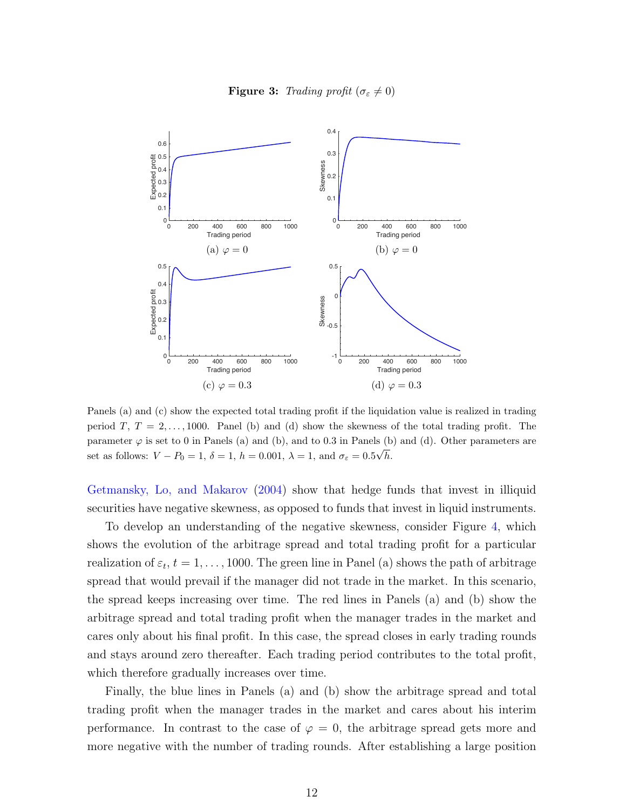

<span id="page-13-0"></span>

Panels (a) and (c) show the expected total trading profit if the liquidation value is realized in trading period T,  $T = 2, \ldots, 1000$ . Panel (b) and (d) show the skewness of the total trading profit. The parameter  $\varphi$  is set to 0 in Panels (a) and (b), and to 0.3 in Panels (b) and (d). Other parameters are set as follows:  $V - P_0 = 1$ ,  $\delta = 1$ ,  $h = 0.001$ ,  $\lambda = 1$ , and  $\sigma_{\varepsilon} = 0.5\sqrt{h}$ .

[Getmansky, Lo, and Makarov](#page-27-1) [\(2004\)](#page-27-1) show that hedge funds that invest in illiquid securities have negative skewness, as opposed to funds that invest in liquid instruments.

To develop an understanding of the negative skewness, consider Figure [4,](#page-14-0) which shows the evolution of the arbitrage spread and total trading profit for a particular realization of  $\varepsilon_t$ ,  $t = 1, \ldots, 1000$ . The green line in Panel (a) shows the path of arbitrage spread that would prevail if the manager did not trade in the market. In this scenario, the spread keeps increasing over time. The red lines in Panels (a) and (b) show the arbitrage spread and total trading profit when the manager trades in the market and cares only about his final profit. In this case, the spread closes in early trading rounds and stays around zero thereafter. Each trading period contributes to the total profit, which therefore gradually increases over time.

Finally, the blue lines in Panels (a) and (b) show the arbitrage spread and total trading profit when the manager trades in the market and cares about his interim performance. In contrast to the case of  $\varphi = 0$ , the arbitrage spread gets more and more negative with the number of trading rounds. After establishing a large position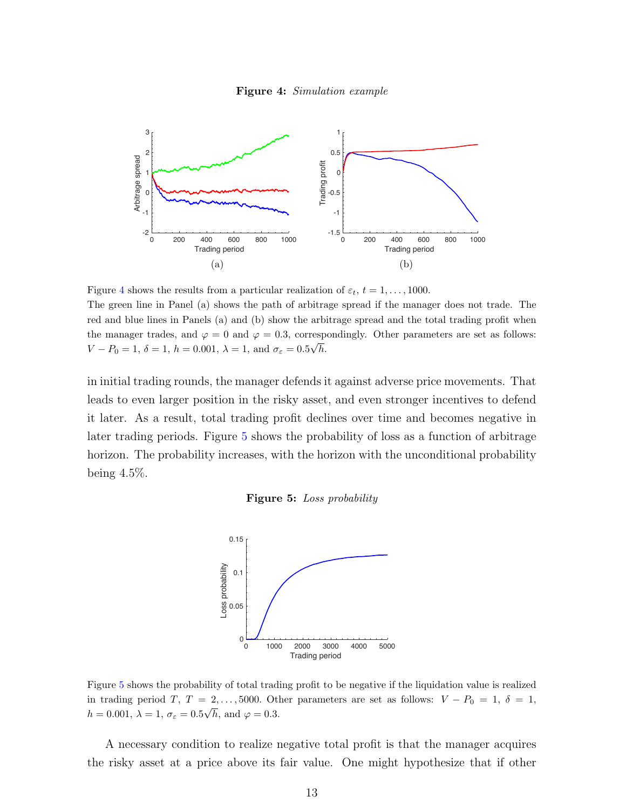

<span id="page-14-0"></span>

Figure [4](#page-14-0) shows the results from a particular realization of  $\varepsilon_t$ ,  $t = 1, \ldots, 1000$ . The green line in Panel (a) shows the path of arbitrage spread if the manager does not trade. The red and blue lines in Panels (a) and (b) show the arbitrage spread and the total trading profit when the manager trades, and  $\varphi = 0$  and  $\varphi = 0.3$ , correspondingly. Other parameters are set as follows:  $V - P_0 = 1, \, \delta = 1, \, h = 0.001, \, \lambda = 1, \, \text{and } \sigma_{\varepsilon} = 0.5 \sqrt{h}.$ 

<span id="page-14-1"></span>in initial trading rounds, the manager defends it against adverse price movements. That leads to even larger position in the risky asset, and even stronger incentives to defend it later. As a result, total trading profit declines over time and becomes negative in later trading periods. Figure [5](#page-14-1) shows the probability of loss as a function of arbitrage horizon. The probability increases, with the horizon with the unconditional probability being 4.5%.





Figure [5](#page-14-1) shows the probability of total trading profit to be negative if the liquidation value is realized in trading period T,  $T = 2, ..., 5000$ . Other parameters are set as follows:  $V - P_0 = 1, \delta = 1$ ,  $h = 0.001, \, \lambda = 1, \, \sigma_{\varepsilon} = 0.5\sqrt{h}, \, \text{and } \varphi = 0.3.$ 

A necessary condition to realize negative total profit is that the manager acquires the risky asset at a price above its fair value. One might hypothesize that if other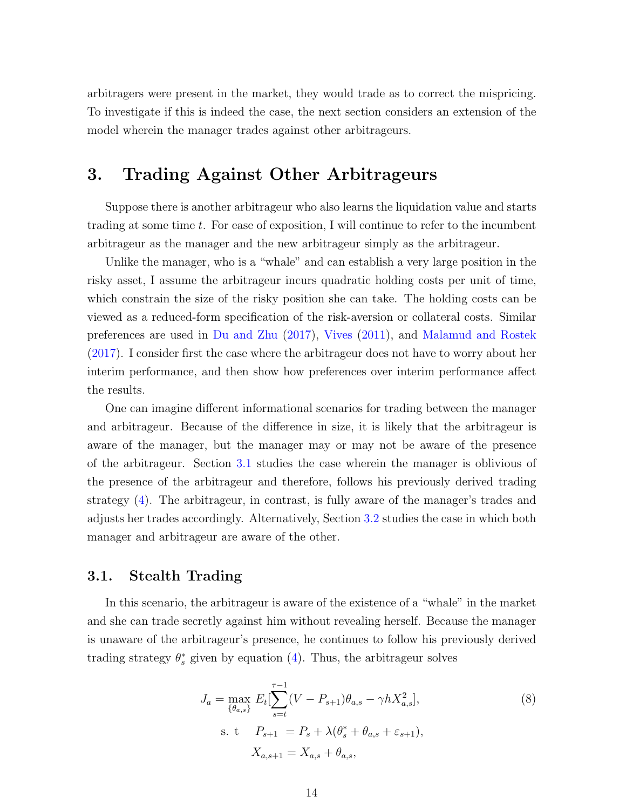arbitragers were present in the market, they would trade as to correct the mispricing. To investigate if this is indeed the case, the next section considers an extension of the model wherein the manager trades against other arbitrageurs.

## <span id="page-15-0"></span>3. Trading Against Other Arbitrageurs

Suppose there is another arbitrageur who also learns the liquidation value and starts trading at some time t. For ease of exposition, I will continue to refer to the incumbent arbitrageur as the manager and the new arbitrageur simply as the arbitrageur.

Unlike the manager, who is a "whale" and can establish a very large position in the risky asset, I assume the arbitrageur incurs quadratic holding costs per unit of time, which constrain the size of the risky position she can take. The holding costs can be viewed as a reduced-form specification of the risk-aversion or collateral costs. Similar preferences are used in [Du and Zhu](#page-27-11) [\(2017\)](#page-27-11), [Vives](#page-27-12) [\(2011\)](#page-27-12), and [Malamud and Rostek](#page-27-13) [\(2017\)](#page-27-13). I consider first the case where the arbitrageur does not have to worry about her interim performance, and then show how preferences over interim performance affect the results.

One can imagine different informational scenarios for trading between the manager and arbitrageur. Because of the difference in size, it is likely that the arbitrageur is aware of the manager, but the manager may or may not be aware of the presence of the arbitrageur. Section [3.1](#page-15-1) studies the case wherein the manager is oblivious of the presence of the arbitrageur and therefore, follows his previously derived trading strategy [\(4\)](#page-9-3). The arbitrageur, in contrast, is fully aware of the manager's trades and adjusts her trades accordingly. Alternatively, Section [3.2](#page-17-0) studies the case in which both manager and arbitrageur are aware of the other.

#### <span id="page-15-1"></span>3.1. Stealth Trading

In this scenario, the arbitrageur is aware of the existence of a "whale" in the market and she can trade secretly against him without revealing herself. Because the manager is unaware of the arbitrageur's presence, he continues to follow his previously derived trading strategy  $\theta_s^*$  given by equation [\(4\)](#page-9-3). Thus, the arbitrageur solves

<span id="page-15-2"></span>
$$
J_a = \max_{\{\theta_{a,s}\}} E_t[\sum_{s=t}^{\tau-1} (V - P_{s+1})\theta_{a,s} - \gamma h X_{a,s}^2],
$$
  
s. t  $P_{s+1} = P_s + \lambda(\theta_s^* + \theta_{a,s} + \varepsilon_{s+1}),$   
 $X_{a,s+1} = X_{a,s} + \theta_{a,s},$  (8)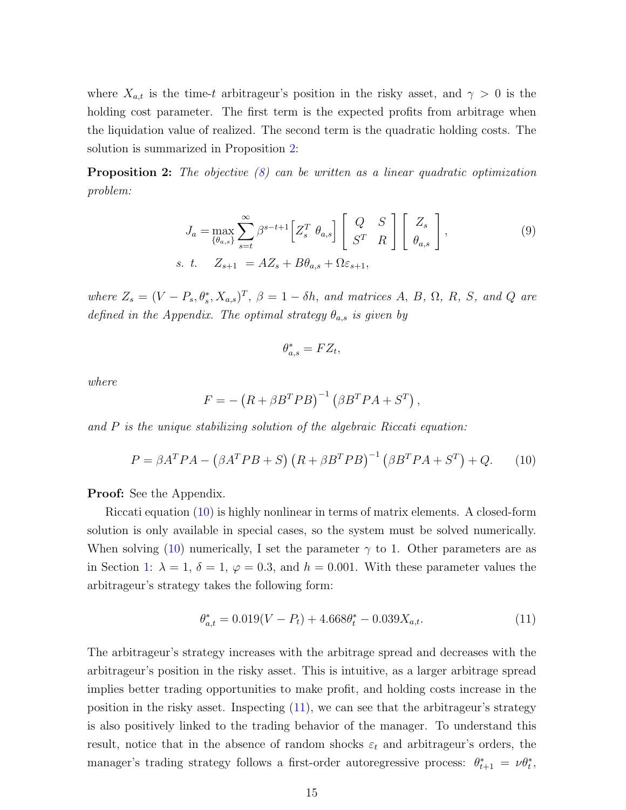where  $X_{a,t}$  is the time-t arbitrageur's position in the risky asset, and  $\gamma > 0$  is the holding cost parameter. The first term is the expected profits from arbitrage when the liquidation value of realized. The second term is the quadratic holding costs. The solution is summarized in Proposition [2:](#page-16-0)

<span id="page-16-0"></span>**Proposition 2:** The objective [\(8\)](#page-15-2) can be written as a linear quadratic optimization problem:

$$
J_a = \max_{\{\theta_{a,s}\}} \sum_{s=t}^{\infty} \beta^{s-t+1} \left[ Z_s^T \ \theta_{a,s} \right] \left[ \begin{array}{cc} Q & S \\ S^T & R \end{array} \right] \left[ \begin{array}{c} Z_s \\ \theta_{a,s} \end{array} \right],\tag{9}
$$
\ns. t. 
$$
Z_{s+1} = AZ_s + B\theta_{a,s} + \Omega \varepsilon_{s+1},
$$

where  $Z_s = (V - P_s, \theta_s^*, X_{a,s})^T$ ,  $\beta = 1 - \delta h$ , and matrices A, B,  $\Omega$ , R, S, and Q are defined in the Appendix. The optimal strategy  $\theta_{a,s}$  is given by

$$
\theta_{a,s}^* = FZ_t,
$$

where

$$
F = -\left(R + \beta B^T P B\right)^{-1} \left(\beta B^T P A + S^T\right),
$$

and P is the unique stabilizing solution of the algebraic Riccati equation:

<span id="page-16-1"></span>
$$
P = \beta A^T P A - (\beta A^T P B + S) (R + \beta B^T P B)^{-1} (\beta B^T P A + S^T) + Q. \tag{10}
$$

Proof: See the Appendix.

Riccati equation [\(10\)](#page-16-1) is highly nonlinear in terms of matrix elements. A closed-form solution is only available in special cases, so the system must be solved numerically. When solving [\(10\)](#page-16-1) numerically, I set the parameter  $\gamma$  to 1. Other parameters are as in Section [1:](#page-7-1)  $\lambda = 1$ ,  $\delta = 1$ ,  $\varphi = 0.3$ , and  $h = 0.001$ . With these parameter values the arbitrageur's strategy takes the following form:

<span id="page-16-2"></span>
$$
\theta_{a,t}^* = 0.019(V - P_t) + 4.668\theta_t^* - 0.039X_{a,t}.\tag{11}
$$

The arbitrageur's strategy increases with the arbitrage spread and decreases with the arbitrageur's position in the risky asset. This is intuitive, as a larger arbitrage spread implies better trading opportunities to make profit, and holding costs increase in the position in the risky asset. Inspecting [\(11\)](#page-16-2), we can see that the arbitrageur's strategy is also positively linked to the trading behavior of the manager. To understand this result, notice that in the absence of random shocks  $\varepsilon_t$  and arbitrageur's orders, the manager's trading strategy follows a first-order autoregressive process:  $\theta_{t+1}^* = \nu \theta_t^*$ ,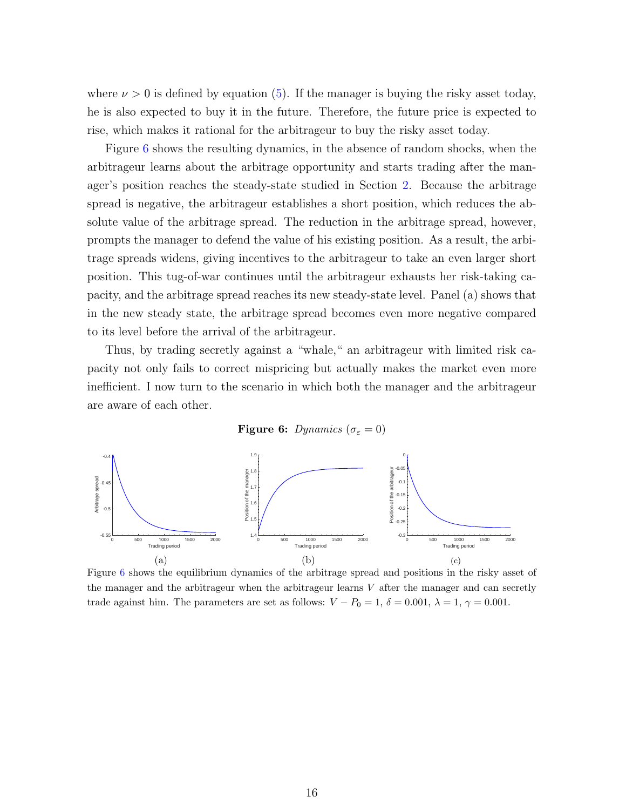where  $\nu > 0$  is defined by equation [\(5\)](#page-10-0). If the manager is buying the risky asset today, he is also expected to buy it in the future. Therefore, the future price is expected to rise, which makes it rational for the arbitrageur to buy the risky asset today.

Figure [6](#page-17-1) shows the resulting dynamics, in the absence of random shocks, when the arbitrageur learns about the arbitrage opportunity and starts trading after the manager's position reaches the steady-state studied in Section [2.](#page-9-0) Because the arbitrage spread is negative, the arbitrageur establishes a short position, which reduces the absolute value of the arbitrage spread. The reduction in the arbitrage spread, however, prompts the manager to defend the value of his existing position. As a result, the arbitrage spreads widens, giving incentives to the arbitrageur to take an even larger short position. This tug-of-war continues until the arbitrageur exhausts her risk-taking capacity, and the arbitrage spread reaches its new steady-state level. Panel (a) shows that in the new steady state, the arbitrage spread becomes even more negative compared to its level before the arrival of the arbitrageur.

Thus, by trading secretly against a "whale," an arbitrageur with limited risk capacity not only fails to correct mispricing but actually makes the market even more inefficient. I now turn to the scenario in which both the manager and the arbitrageur are aware of each other.



<span id="page-17-1"></span>

<span id="page-17-0"></span>Figure [6](#page-17-1) shows the equilibrium dynamics of the arbitrage spread and positions in the risky asset of the manager and the arbitrageur when the arbitrageur learns  $V$  after the manager and can secretly trade against him. The parameters are set as follows:  $V - P_0 = 1$ ,  $\delta = 0.001$ ,  $\lambda = 1$ ,  $\gamma = 0.001$ .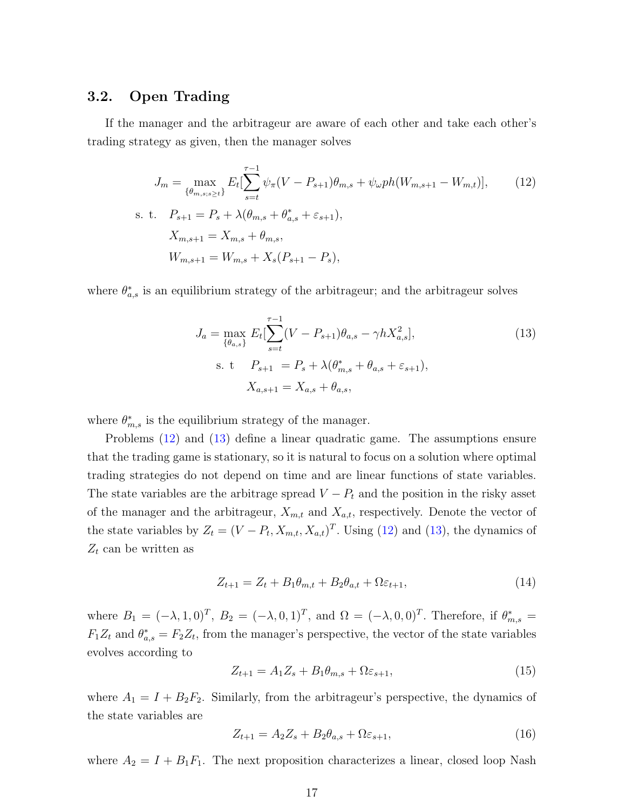#### 3.2. Open Trading

If the manager and the arbitrageur are aware of each other and take each other's trading strategy as given, then the manager solves

$$
J_m = \max_{\{\theta_{m,s;s\geq t}\}} E_t[\sum_{s=t}^{\tau-1} \psi_\pi (V - P_{s+1}) \theta_{m,s} + \psi_\omega ph(W_{m,s+1} - W_{m,t})],
$$
 (12)  
s. t.  $P_{s+1} = P_s + \lambda(\theta_{m,s} + \theta_{a,s}^* + \varepsilon_{s+1}),$   
 $X_{m,s+1} = X_{m,s} + \theta_{m,s},$   
 $W_{m,s+1} = W_{m,s} + X_s(P_{s+1} - P_s),$ 

where  $\theta_{a,s}^*$  is an equilibrium strategy of the arbitrageur; and the arbitrageur solves

<span id="page-18-1"></span><span id="page-18-0"></span>
$$
J_a = \max_{\{\theta_{a,s}\}} E_t[\sum_{s=t}^{\tau-1} (V - P_{s+1})\theta_{a,s} - \gamma h X_{a,s}^2],
$$
  
s. t  $P_{s+1} = P_s + \lambda(\theta_{m,s}^* + \theta_{a,s} + \varepsilon_{s+1}),$   
 $X_{a,s+1} = X_{a,s} + \theta_{a,s},$  (13)

where  $\theta_{m,s}^*$  is the equilibrium strategy of the manager.

Problems [\(12\)](#page-18-0) and [\(13\)](#page-18-1) define a linear quadratic game. The assumptions ensure that the trading game is stationary, so it is natural to focus on a solution where optimal trading strategies do not depend on time and are linear functions of state variables. The state variables are the arbitrage spread  $V - P_t$  and the position in the risky asset of the manager and the arbitrageur,  $X_{m,t}$  and  $X_{a,t}$ , respectively. Denote the vector of the state variables by  $Z_t = (V - P_t, X_{m,t}, X_{a,t})^T$ . Using [\(12\)](#page-18-0) and [\(13\)](#page-18-1), the dynamics of  $Z_t$  can be written as

$$
Z_{t+1} = Z_t + B_1 \theta_{m,t} + B_2 \theta_{a,t} + \Omega \varepsilon_{t+1},\tag{14}
$$

where  $B_1 = (-\lambda, 1, 0)^T$ ,  $B_2 = (-\lambda, 0, 1)^T$ , and  $\Omega = (-\lambda, 0, 0)^T$ . Therefore, if  $\theta_{m,s}^* =$  $F_1Z_t$  and  $\theta_{a,s}^* = F_2Z_t$ , from the manager's perspective, the vector of the state variables evolves according to

$$
Z_{t+1} = A_1 Z_s + B_1 \theta_{m,s} + \Omega \varepsilon_{s+1},\tag{15}
$$

where  $A_1 = I + B_2F_2$ . Similarly, from the arbitrageur's perspective, the dynamics of the state variables are

$$
Z_{t+1} = A_2 Z_s + B_2 \theta_{a,s} + \Omega \varepsilon_{s+1},\tag{16}
$$

where  $A_2 = I + B_1F_1$ . The next proposition characterizes a linear, closed loop Nash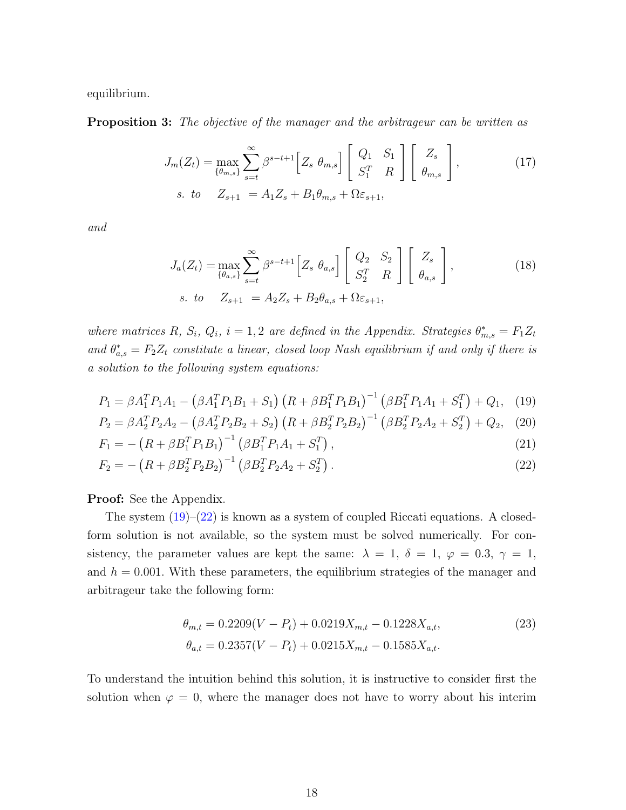<span id="page-19-3"></span>equilibrium.

**Proposition 3:** The objective of the manager and the arbitrageur can be written as

$$
J_m(Z_t) = \max_{\{\theta_{m,s}\}} \sum_{s=t}^{\infty} \beta^{s-t+1} \left[ Z_s \ \theta_{m,s} \right] \left[ \begin{array}{c} Q_1 & S_1 \\ S_1^T & R \end{array} \right] \left[ \begin{array}{c} Z_s \\ \theta_{m,s} \end{array} \right],\tag{17}
$$
\n
$$
s. \ \ to \quad Z_{s+1} = A_1 Z_s + B_1 \theta_{m,s} + \Omega \varepsilon_{s+1},
$$

and

<span id="page-19-0"></span>
$$
J_a(Z_t) = \max_{\{\theta_{a,s}\}} \sum_{s=t}^{\infty} \beta^{s-t+1} \left[ Z_s \ \theta_{a,s} \right] \left[ \begin{array}{cc} Q_2 & S_2 \\ S_2^T & R \end{array} \right] \left[ \begin{array}{c} Z_s \\ \theta_{a,s} \end{array} \right],\tag{18}
$$
\n
$$
s. \ \ to \quad Z_{s+1} = A_2 Z_s + B_2 \theta_{a,s} + \Omega \varepsilon_{s+1},
$$

where matrices R,  $S_i$ ,  $Q_i$ ,  $i = 1, 2$  are defined in the Appendix. Strategies  $\theta_{m,s}^* = F_1 Z_t$ and  $\theta_{a,s}^* = F_2 Z_t$  constitute a linear, closed loop Nash equilibrium if and only if there is a solution to the following system equations:

$$
P_1 = \beta A_1^T P_1 A_1 - \left(\beta A_1^T P_1 B_1 + S_1\right) \left(R + \beta B_1^T P_1 B_1\right)^{-1} \left(\beta B_1^T P_1 A_1 + S_1^T\right) + Q_1,\tag{19}
$$

$$
P_2 = \beta A_2^T P_2 A_2 - \left(\beta A_2^T P_2 B_2 + S_2\right) \left(R + \beta B_2^T P_2 B_2\right)^{-1} \left(\beta B_2^T P_2 A_2 + S_2^T\right) + Q_2,\tag{20}
$$

$$
F_1 = -\left(R + \beta B_1^T P_1 B_1\right)^{-1} \left(\beta B_1^T P_1 A_1 + S_1^T\right),\tag{21}
$$

$$
F_2 = -\left(R + \beta B_2^T P_2 B_2\right)^{-1} \left(\beta B_2^T P_2 A_2 + S_2^T\right). \tag{22}
$$

Proof: See the Appendix.

The system  $(19)$ – $(22)$  is known as a system of coupled Riccati equations. A closedform solution is not available, so the system must be solved numerically. For consistency, the parameter values are kept the same:  $\lambda = 1, \delta = 1, \varphi = 0.3, \gamma = 1,$ and  $h = 0.001$ . With these parameters, the equilibrium strategies of the manager and arbitrageur take the following form:

<span id="page-19-2"></span><span id="page-19-1"></span>
$$
\theta_{m,t} = 0.2209(V - P_t) + 0.0219X_{m,t} - 0.1228X_{a,t},
$$
  
\n
$$
\theta_{a,t} = 0.2357(V - P_t) + 0.0215X_{m,t} - 0.1585X_{a,t}.
$$
\n(23)

To understand the intuition behind this solution, it is instructive to consider first the solution when  $\varphi = 0$ , where the manager does not have to worry about his interim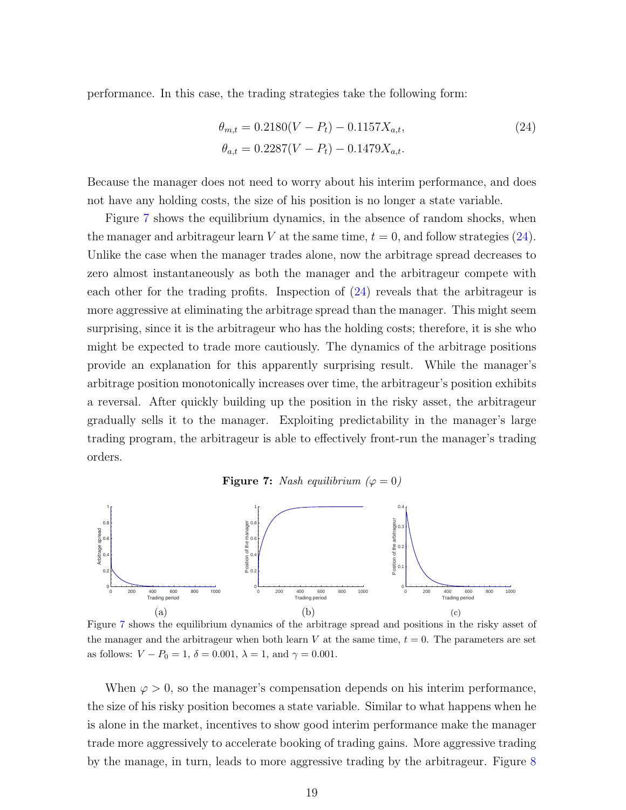performance. In this case, the trading strategies take the following form:

<span id="page-20-1"></span>
$$
\theta_{m,t} = 0.2180(V - P_t) - 0.1157X_{a,t},
$$
  
\n
$$
\theta_{a,t} = 0.2287(V - P_t) - 0.1479X_{a,t}.
$$
\n(24)

Because the manager does not need to worry about his interim performance, and does not have any holding costs, the size of his position is no longer a state variable.

Figure [7](#page-20-0) shows the equilibrium dynamics, in the absence of random shocks, when the manager and arbitrageur learn V at the same time,  $t = 0$ , and follow strategies [\(24\)](#page-20-1). Unlike the case when the manager trades alone, now the arbitrage spread decreases to zero almost instantaneously as both the manager and the arbitrageur compete with each other for the trading profits. Inspection of  $(24)$  reveals that the arbitrageur is more aggressive at eliminating the arbitrage spread than the manager. This might seem surprising, since it is the arbitrageur who has the holding costs; therefore, it is she who might be expected to trade more cautiously. The dynamics of the arbitrage positions provide an explanation for this apparently surprising result. While the manager's arbitrage position monotonically increases over time, the arbitrageur's position exhibits a reversal. After quickly building up the position in the risky asset, the arbitrageur gradually sells it to the manager. Exploiting predictability in the manager's large trading program, the arbitrageur is able to effectively front-run the manager's trading orders.

**Figure 7:** Nash equilibrium ( $\varphi = 0$ )

<span id="page-20-0"></span>

Figure [7](#page-20-0) shows the equilibrium dynamics of the arbitrage spread and positions in the risky asset of the manager and the arbitrageur when both learn V at the same time,  $t = 0$ . The parameters are set as follows:  $V - P_0 = 1$ ,  $\delta = 0.001$ ,  $\lambda = 1$ , and  $\gamma = 0.001$ .

When  $\varphi > 0$ , so the manager's compensation depends on his interim performance, the size of his risky position becomes a state variable. Similar to what happens when he is alone in the market, incentives to show good interim performance make the manager trade more aggressively to accelerate booking of trading gains. More aggressive trading by the manage, in turn, leads to more aggressive trading by the arbitrageur. Figure [8](#page-21-0)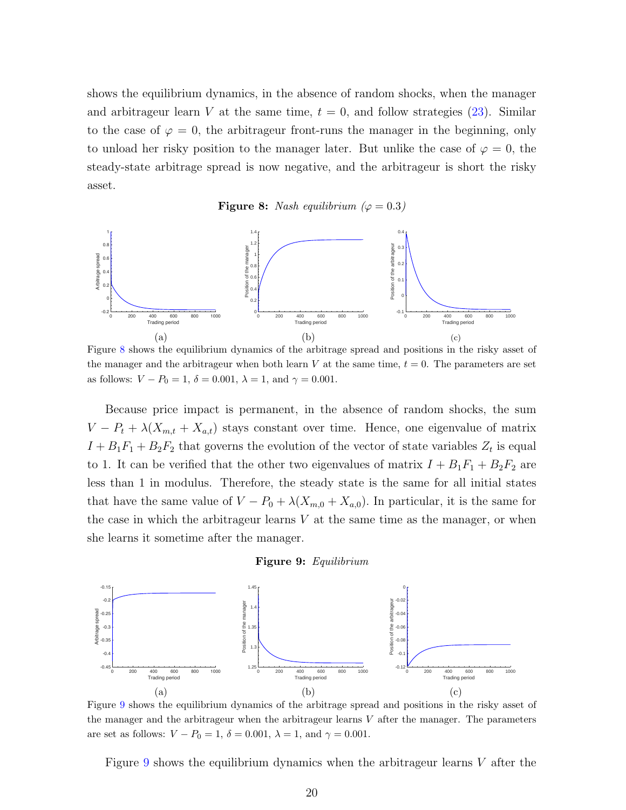shows the equilibrium dynamics, in the absence of random shocks, when the manager and arbitrageur learn V at the same time,  $t = 0$ , and follow strategies [\(23\)](#page-19-2). Similar to the case of  $\varphi = 0$ , the arbitrageur front-runs the manager in the beginning, only to unload her risky position to the manager later. But unlike the case of  $\varphi = 0$ , the steady-state arbitrage spread is now negative, and the arbitrageur is short the risky asset.

Figure 8: Nash equilibrium ( $\varphi = 0.3$ )

<span id="page-21-0"></span>

Figure [8](#page-21-0) shows the equilibrium dynamics of the arbitrage spread and positions in the risky asset of the manager and the arbitrageur when both learn V at the same time,  $t = 0$ . The parameters are set as follows:  $V - P_0 = 1$ ,  $\delta = 0.001$ ,  $\lambda = 1$ , and  $\gamma = 0.001$ .

Because price impact is permanent, in the absence of random shocks, the sum  $V - P_t + \lambda (X_{m,t} + X_{a,t})$  stays constant over time. Hence, one eigenvalue of matrix  $I + B_1F_1 + B_2F_2$  that governs the evolution of the vector of state variables  $Z_t$  is equal to 1. It can be verified that the other two eigenvalues of matrix  $I + B_1F_1 + B_2F_2$  are less than 1 in modulus. Therefore, the steady state is the same for all initial states that have the same value of  $V - P_0 + \lambda (X_{m,0} + X_{a,0})$ . In particular, it is the same for the case in which the arbitrageur learns  $V$  at the same time as the manager, or when she learns it sometime after the manager.

#### Figure 9: Equilibrium

<span id="page-21-1"></span>

Figure [9](#page-21-1) shows the equilibrium dynamics of the arbitrage spread and positions in the risky asset of the manager and the arbitrageur when the arbitrageur learns  $V$  after the manager. The parameters are set as follows:  $V - P_0 = 1$ ,  $\delta = 0.001$ ,  $\lambda = 1$ , and  $\gamma = 0.001$ .

Figure [9](#page-21-1) shows the equilibrium dynamics when the arbitrageur learns V after the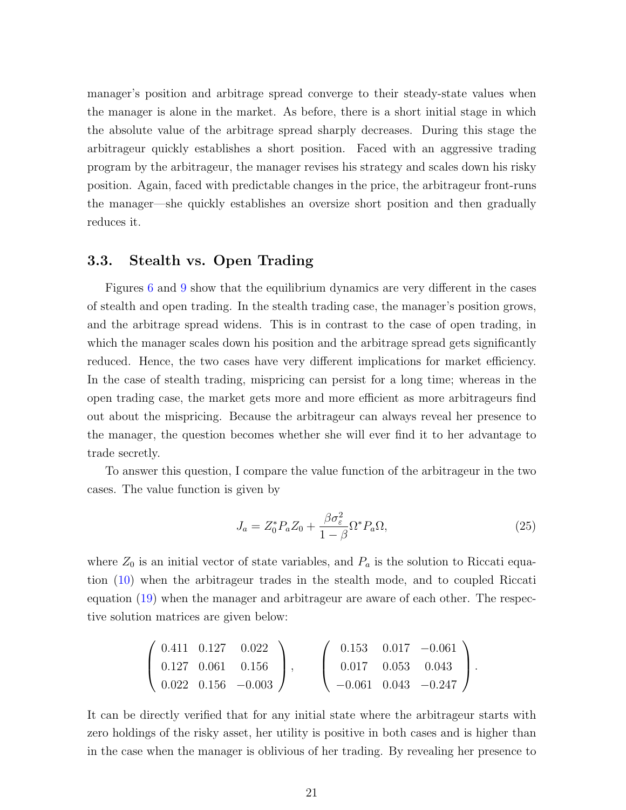manager's position and arbitrage spread converge to their steady-state values when the manager is alone in the market. As before, there is a short initial stage in which the absolute value of the arbitrage spread sharply decreases. During this stage the arbitrageur quickly establishes a short position. Faced with an aggressive trading program by the arbitrageur, the manager revises his strategy and scales down his risky position. Again, faced with predictable changes in the price, the arbitrageur front-runs the manager—she quickly establishes an oversize short position and then gradually reduces it.

#### 3.3. Stealth vs. Open Trading

Figures [6](#page-17-1) and [9](#page-21-1) show that the equilibrium dynamics are very different in the cases of stealth and open trading. In the stealth trading case, the manager's position grows, and the arbitrage spread widens. This is in contrast to the case of open trading, in which the manager scales down his position and the arbitrage spread gets significantly reduced. Hence, the two cases have very different implications for market efficiency. In the case of stealth trading, mispricing can persist for a long time; whereas in the open trading case, the market gets more and more efficient as more arbitrageurs find out about the mispricing. Because the arbitrageur can always reveal her presence to the manager, the question becomes whether she will ever find it to her advantage to trade secretly.

To answer this question, I compare the value function of the arbitrageur in the two cases. The value function is given by

$$
J_a = Z_0^* P_a Z_0 + \frac{\beta \sigma_\varepsilon^2}{1 - \beta} \Omega^* P_a \Omega,\tag{25}
$$

where  $Z_0$  is an initial vector of state variables, and  $P_a$  is the solution to Riccati equation [\(10\)](#page-16-1) when the arbitrageur trades in the stealth mode, and to coupled Riccati equation [\(19\)](#page-19-0) when the manager and arbitrageur are aware of each other. The respective solution matrices are given below:

$$
\left(\begin{array}{ccc} 0.411 & 0.127 & 0.022 \\ 0.127 & 0.061 & 0.156 \\ 0.022 & 0.156 & -0.003 \end{array}\right), \quad \left(\begin{array}{ccc} 0.153 & 0.017 & -0.061 \\ 0.017 & 0.053 & 0.043 \\ -0.061 & 0.043 & -0.247 \end{array}\right).
$$

It can be directly verified that for any initial state where the arbitrageur starts with zero holdings of the risky asset, her utility is positive in both cases and is higher than in the case when the manager is oblivious of her trading. By revealing her presence to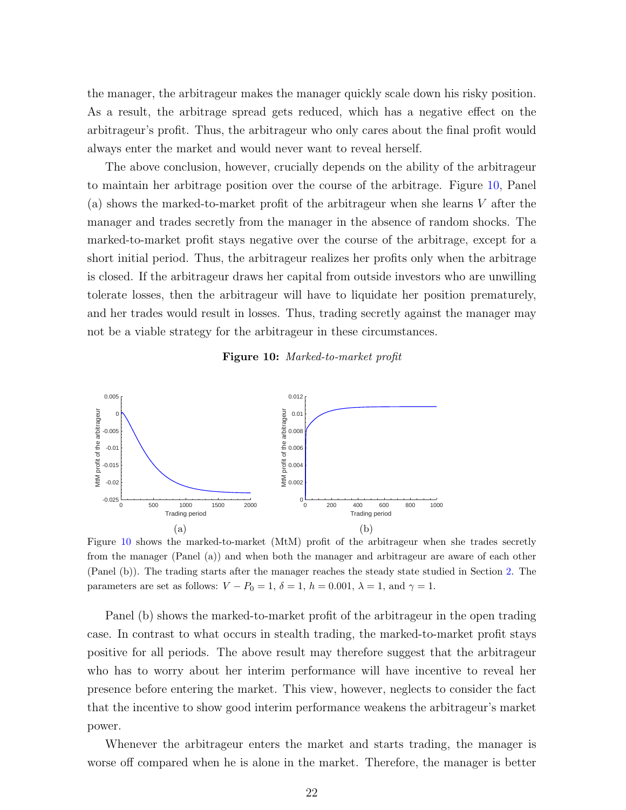the manager, the arbitrageur makes the manager quickly scale down his risky position. As a result, the arbitrage spread gets reduced, which has a negative effect on the arbitrageur's profit. Thus, the arbitrageur who only cares about the final profit would always enter the market and would never want to reveal herself.

The above conclusion, however, crucially depends on the ability of the arbitrageur to maintain her arbitrage position over the course of the arbitrage. Figure [10,](#page-23-0) Panel (a) shows the marked-to-market profit of the arbitrageur when she learns V after the manager and trades secretly from the manager in the absence of random shocks. The marked-to-market profit stays negative over the course of the arbitrage, except for a short initial period. Thus, the arbitrageur realizes her profits only when the arbitrage is closed. If the arbitrageur draws her capital from outside investors who are unwilling tolerate losses, then the arbitrageur will have to liquidate her position prematurely, and her trades would result in losses. Thus, trading secretly against the manager may not be a viable strategy for the arbitrageur in these circumstances.

#### Figure 10: Marked-to-market profit

<span id="page-23-0"></span>

Figure [10](#page-23-0) shows the marked-to-market (MtM) profit of the arbitrageur when she trades secretly from the manager (Panel (a)) and when both the manager and arbitrageur are aware of each other (Panel (b)). The trading starts after the manager reaches the steady state studied in Section [2.](#page-9-0) The parameters are set as follows:  $V - P_0 = 1$ ,  $\delta = 1$ ,  $h = 0.001$ ,  $\lambda = 1$ , and  $\gamma = 1$ .

Panel (b) shows the marked-to-market profit of the arbitrageur in the open trading case. In contrast to what occurs in stealth trading, the marked-to-market profit stays positive for all periods. The above result may therefore suggest that the arbitrageur who has to worry about her interim performance will have incentive to reveal her presence before entering the market. This view, however, neglects to consider the fact that the incentive to show good interim performance weakens the arbitrageur's market power.

Whenever the arbitrageur enters the market and starts trading, the manager is worse off compared when he is alone in the market. Therefore, the manager is better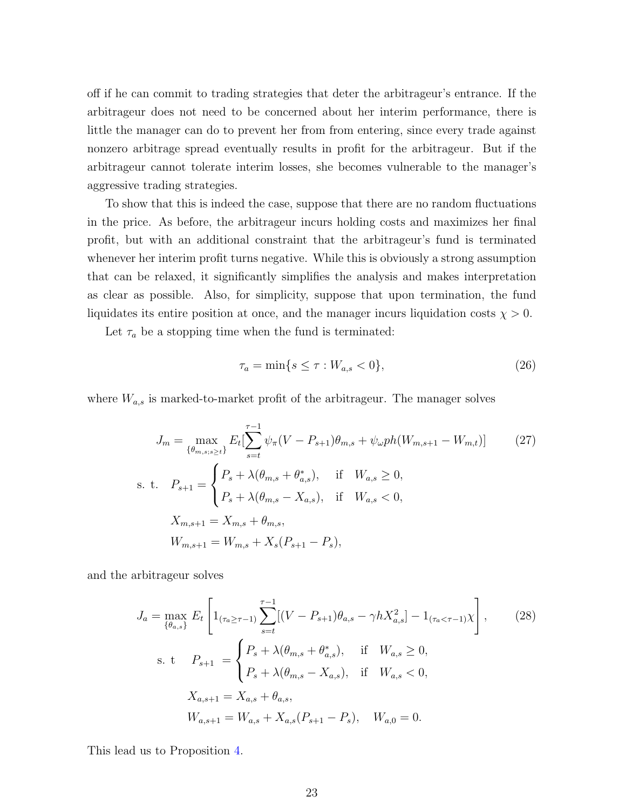off if he can commit to trading strategies that deter the arbitrageur's entrance. If the arbitrageur does not need to be concerned about her interim performance, there is little the manager can do to prevent her from from entering, since every trade against nonzero arbitrage spread eventually results in profit for the arbitrageur. But if the arbitrageur cannot tolerate interim losses, she becomes vulnerable to the manager's aggressive trading strategies.

To show that this is indeed the case, suppose that there are no random fluctuations in the price. As before, the arbitrageur incurs holding costs and maximizes her final profit, but with an additional constraint that the arbitrageur's fund is terminated whenever her interim profit turns negative. While this is obviously a strong assumption that can be relaxed, it significantly simplifies the analysis and makes interpretation as clear as possible. Also, for simplicity, suppose that upon termination, the fund liquidates its entire position at once, and the manager incurs liquidation costs  $\chi > 0$ .

Let  $\tau_a$  be a stopping time when the fund is terminated:

<span id="page-24-2"></span><span id="page-24-1"></span>
$$
\tau_a = \min\{s \le \tau : W_{a,s} < 0\},\tag{26}
$$

where  $W_{a,s}$  is marked-to-market profit of the arbitrageur. The manager solves

$$
J_m = \max_{\{\theta_{m,s;s\ge t}\}} E_t \left[ \sum_{s=t}^{\tau-1} \psi_\pi (V - P_{s+1}) \theta_{m,s} + \psi_\omega ph(W_{m,s+1} - W_{m,t}) \right]
$$
(27)  
s. t.  $P_{s+1} = \begin{cases} P_s + \lambda(\theta_{m,s} + \theta_{a,s}^*), & \text{if } W_{a,s} \ge 0, \\ P_s + \lambda(\theta_{m,s} - X_{a,s}), & \text{if } W_{a,s} < 0, \end{cases}$   
 $X_{m,s+1} = X_{m,s} + \theta_{m,s},$   
 $W_{m,s+1} = W_{m,s} + X_s (P_{s+1} - P_s),$ 

and the arbitrageur solves

$$
J_a = \max_{\{\theta_{a,s}\}} E_t \left[ 1_{(\tau_a \geq \tau - 1)} \sum_{s=t}^{\tau - 1} [(V - P_{s+1})\theta_{a,s} - \gamma h X_{a,s}^2] - 1_{(\tau_a < \tau - 1)} \chi \right], \tag{28}
$$
\n
$$
\text{s. t} \quad P_{s+1} = \begin{cases} P_s + \lambda(\theta_{m,s} + \theta_{a,s}^*), & \text{if} \quad W_{a,s} \ge 0, \\ P_s + \lambda(\theta_{m,s} - X_{a,s}), & \text{if} \quad W_{a,s} < 0, \end{cases}
$$
\n
$$
X_{a,s+1} = X_{a,s} + \theta_{a,s}, \qquad W_{a,s+1} = W_{a,s} + X_{a,s} (P_{s+1} - P_s), \quad W_{a,0} = 0.
$$

<span id="page-24-0"></span>This lead us to Proposition [4.](#page-24-0)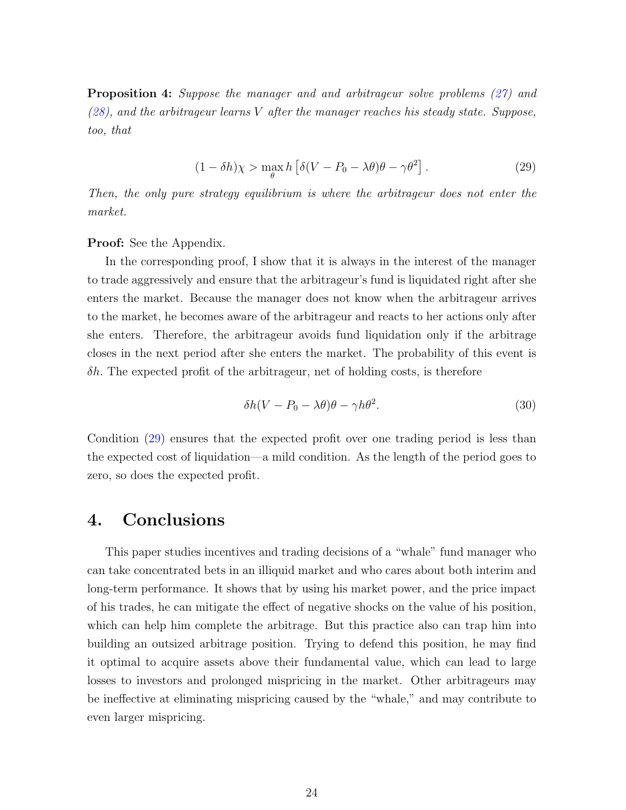Proposition 4: Suppose the manager and and arbitrageur solve problems [\(27\)](#page-24-1) and  $(28)$ , and the arbitrageur learns V after the manager reaches his steady state. Suppose, too, that

<span id="page-25-1"></span>
$$
(1 - \delta h)\chi > \max_{\theta} h \left[ \delta (V - P_0 - \lambda \theta) \theta - \gamma \theta^2 \right].
$$
 (29)

Then, the only pure strategy equilibrium is where the arbitrageur does not enter the market.

#### Proof: See the Appendix.

In the corresponding proof, I show that it is always in the interest of the manager to trade aggressively and ensure that the arbitrageur's fund is liquidated right after she enters the market. Because the manager does not know when the arbitrageur arrives to the market, he becomes aware of the arbitrageur and reacts to her actions only after she enters. Therefore, the arbitrageur avoids fund liquidation only if the arbitrage closes in the next period after she enters the market. The probability of this event is  $\delta h$ . The expected profit of the arbitrageur, net of holding costs, is therefore

$$
\delta h(V - P_0 - \lambda \theta)\theta - \gamma h \theta^2. \tag{30}
$$

Condition [\(29\)](#page-25-1) ensures that the expected profit over one trading period is less than the expected cost of liquidation—a mild condition. As the length of the period goes to zero, so does the expected profit.

### <span id="page-25-0"></span>4. Conclusions

This paper studies incentives and trading decisions of a "whale" fund manager who can take concentrated bets in an illiquid market and who cares about both interim and long-term performance. It shows that by using his market power, and the price impact of his trades, he can mitigate the effect of negative shocks on the value of his position, which can help him complete the arbitrage. But this practice also can trap him into building an outsized arbitrage position. Trying to defend this position, he may find it optimal to acquire assets above their fundamental value, which can lead to large losses to investors and prolonged mispricing in the market. Other arbitrageurs may be ineffective at eliminating mispricing caused by the "whale," and may contribute to even larger mispricing.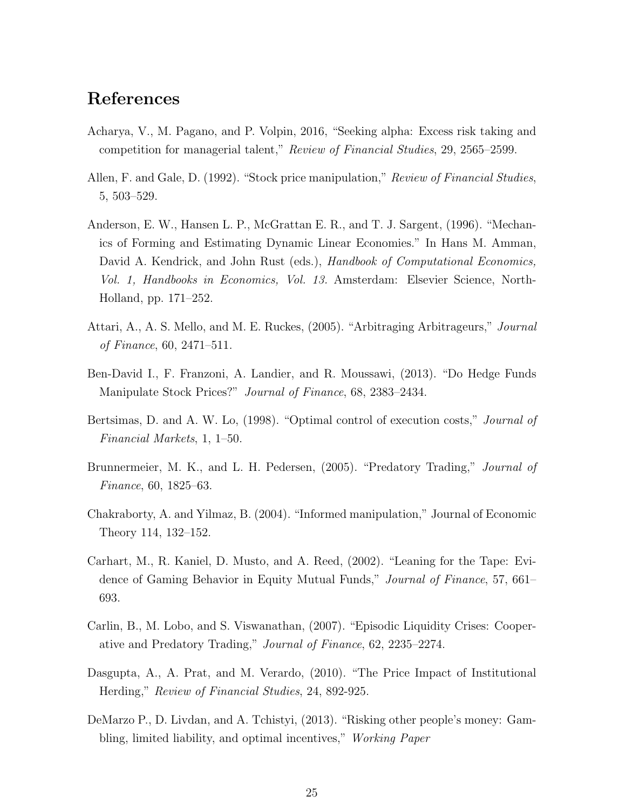# References

- <span id="page-26-4"></span>Acharya, V., M. Pagano, and P. Volpin, 2016, "Seeking alpha: Excess risk taking and competition for managerial talent," Review of Financial Studies, 29, 2565–2599.
- <span id="page-26-7"></span>Allen, F. and Gale, D. (1992). "Stock price manipulation," Review of Financial Studies, 5, 503–529.
- <span id="page-26-11"></span>Anderson, E. W., Hansen L. P., McGrattan E. R., and T. J. Sargent, (1996). "Mechanics of Forming and Estimating Dynamic Linear Economies." In Hans M. Amman, David A. Kendrick, and John Rust (eds.), Handbook of Computational Economics, Vol. 1, Handbooks in Economics, Vol. 13. Amsterdam: Elsevier Science, North-Holland, pp. 171–252.
- <span id="page-26-3"></span>Attari, A., A. S. Mello, and M. E. Ruckes, (2005). "Arbitraging Arbitrageurs," *Journal* of Finance, 60, 2471–511.
- <span id="page-26-1"></span>Ben-David I., F. Franzoni, A. Landier, and R. Moussawi, (2013). "Do Hedge Funds Manipulate Stock Prices?" Journal of Finance, 68, 2383–2434.
- <span id="page-26-10"></span>Bertsimas, D. and A. W. Lo, (1998). "Optimal control of execution costs," Journal of Financial Markets, 1, 1–50.
- <span id="page-26-2"></span>Brunnermeier, M. K., and L. H. Pedersen, (2005). "Predatory Trading," Journal of Finance, 60, 1825–63.
- <span id="page-26-8"></span>Chakraborty, A. and Yilmaz, B. (2004). "Informed manipulation," Journal of Economic Theory 114, 132–152.
- <span id="page-26-0"></span>Carhart, M., R. Kaniel, D. Musto, and A. Reed, (2002). "Leaning for the Tape: Evidence of Gaming Behavior in Equity Mutual Funds," Journal of Finance, 57, 661– 693.
- <span id="page-26-9"></span>Carlin, B., M. Lobo, and S. Viswanathan, (2007). "Episodic Liquidity Crises: Cooperative and Predatory Trading," Journal of Finance, 62, 2235–2274.
- <span id="page-26-6"></span>Dasgupta, A., A. Prat, and M. Verardo, (2010). "The Price Impact of Institutional Herding," Review of Financial Studies, 24, 892-925.
- <span id="page-26-5"></span>DeMarzo P., D. Livdan, and A. Tchistyi, (2013). "Risking other people's money: Gambling, limited liability, and optimal incentives," Working Paper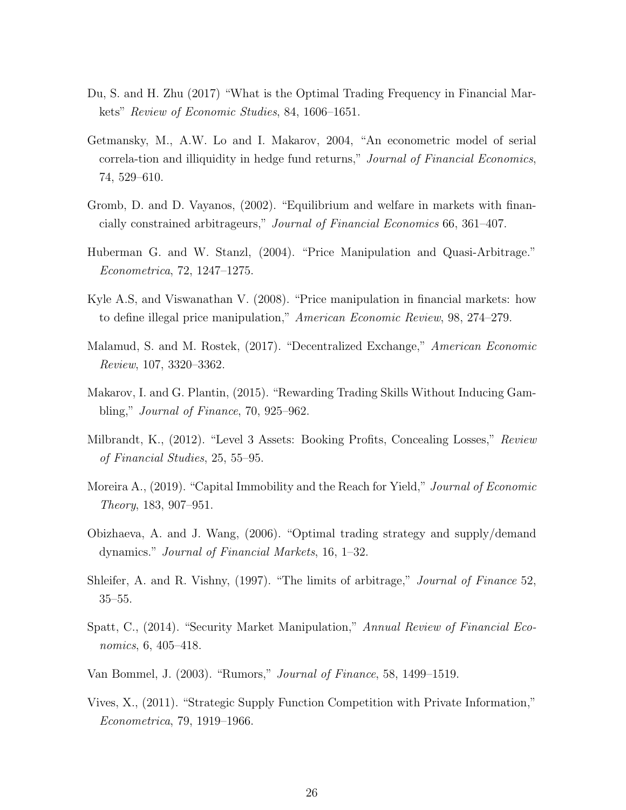- <span id="page-27-11"></span>Du, S. and H. Zhu (2017) "What is the Optimal Trading Frequency in Financial Markets" Review of Economic Studies, 84, 1606–1651.
- <span id="page-27-1"></span>Getmansky, M., A.W. Lo and I. Makarov, 2004, "An econometric model of serial correla-tion and illiquidity in hedge fund returns," Journal of Financial Economics, 74, 529–610.
- <span id="page-27-8"></span>Gromb, D. and D. Vayanos, (2002). "Equilibrium and welfare in markets with financially constrained arbitrageurs," Journal of Financial Economics 66, 361–407.
- <span id="page-27-10"></span>Huberman G. and W. Stanzl, (2004). "Price Manipulation and Quasi-Arbitrage." Econometrica, 72, 1247–1275.
- <span id="page-27-6"></span>Kyle A.S, and Viswanathan V. (2008). "Price manipulation in financial markets: how to define illegal price manipulation," American Economic Review, 98, 274–279.
- <span id="page-27-13"></span>Malamud, S. and M. Rostek, (2017). "Decentralized Exchange," American Economic Review, 107, 3320–3362.
- <span id="page-27-3"></span>Makarov, I. and G. Plantin, (2015). "Rewarding Trading Skills Without Inducing Gambling," Journal of Finance, 70, 925–962.
- <span id="page-27-2"></span>Milbrandt, K., (2012). "Level 3 Assets: Booking Profits, Concealing Losses," Review of Financial Studies, 25, 55–95.
- <span id="page-27-4"></span>Moreira A., (2019). "Capital Immobility and the Reach for Yield," *Journal of Economic* Theory, 183, 907–951.
- <span id="page-27-9"></span>Obizhaeva, A. and J. Wang, (2006). "Optimal trading strategy and supply/demand dynamics." Journal of Financial Markets, 16, 1–32.
- <span id="page-27-0"></span>Shleifer, A. and R. Vishny, (1997). "The limits of arbitrage," Journal of Finance 52, 35–55.
- <span id="page-27-7"></span>Spatt, C., (2014). "Security Market Manipulation," Annual Review of Financial Economics, 6, 405–418.
- <span id="page-27-5"></span>Van Bommel, J. (2003). "Rumors," Journal of Finance, 58, 1499–1519.
- <span id="page-27-12"></span>Vives, X., (2011). "Strategic Supply Function Competition with Private Information," Econometrica, 79, 1919–1966.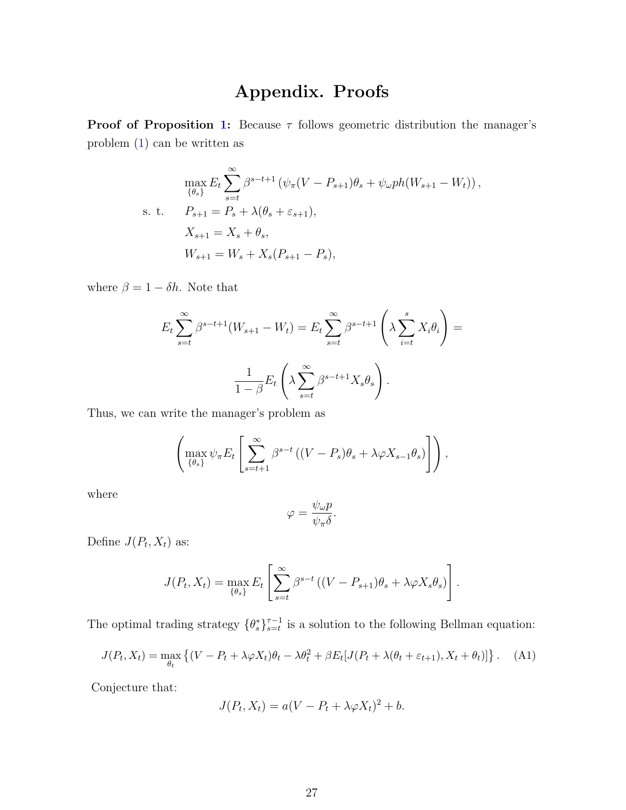# Appendix. Proofs

**Proof of Proposition [1:](#page-9-1)** Because  $\tau$  follows geometric distribution the manager's problem [\(1\)](#page-7-1) can be written as

$$
\max_{\{\theta_s\}} E_t \sum_{s=t}^{\infty} \beta^{s-t+1} \left( \psi_\pi (V - P_{s+1}) \theta_s + \psi_\omega p h (W_{s+1} - W_t) \right),
$$
  
s. t. 
$$
P_{s+1} = P_s + \lambda (\theta_s + \varepsilon_{s+1}),
$$

$$
X_{s+1} = X_s + \theta_s,
$$

$$
W_{s+1} = W_s + X_s (P_{s+1} - P_s),
$$

where  $\beta = 1 - \delta h$ . Note that

$$
E_t \sum_{s=t}^{\infty} \beta^{s-t+1} (W_{s+1} - W_t) = E_t \sum_{s=t}^{\infty} \beta^{s-t+1} \left( \lambda \sum_{i=t}^s X_i \theta_i \right) =
$$

$$
\frac{1}{1 - \beta} E_t \left( \lambda \sum_{s=t}^{\infty} \beta^{s-t+1} X_s \theta_s \right).
$$

Thus, we can write the manager's problem as

$$
\left(\max_{\{\theta_s\}} \psi_{\pi} E_t \left[\sum_{s=t+1}^{\infty} \beta^{s-t} \left((V - P_s)\theta_s + \lambda \varphi X_{s-1}\theta_s\right)\right]\right),\right.
$$

where

$$
\varphi = \frac{\psi_{\omega}p}{\psi_{\pi}\delta}.
$$

Define  $J(P_t, X_t)$  as:

$$
J(P_t, X_t) = \max_{\{\theta_s\}} E_t \left[ \sum_{s=t}^{\infty} \beta^{s-t} \left( (V - P_{s+1}) \theta_s + \lambda \varphi X_s \theta_s \right) \right].
$$

The optimal trading strategy  $\{\theta_s^*\}_{s=t}^{\tau-1}$  is a solution to the following Bellman equation:

<span id="page-28-0"></span>
$$
J(P_t, X_t) = \max_{\theta_t} \left\{ (V - P_t + \lambda \varphi X_t) \theta_t - \lambda \theta_t^2 + \beta E_t [J(P_t + \lambda(\theta_t + \varepsilon_{t+1}), X_t + \theta_t)] \right\}.
$$
 (A1)

Conjecture that:

$$
J(P_t, X_t) = a(V - P_t + \lambda \varphi X_t)^2 + b.
$$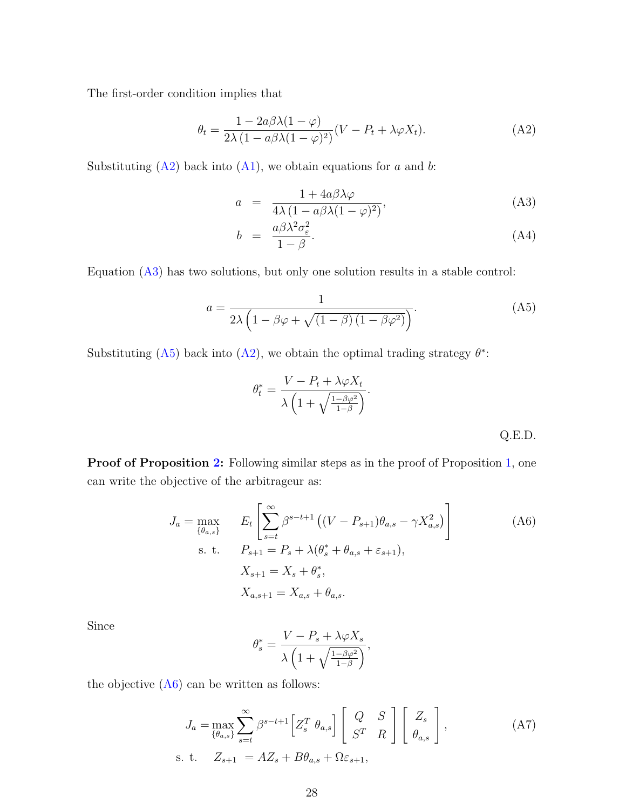The first-order condition implies that

<span id="page-29-0"></span>
$$
\theta_t = \frac{1 - 2a\beta\lambda(1 - \varphi)}{2\lambda(1 - a\beta\lambda(1 - \varphi)^2)}(V - P_t + \lambda\varphi X_t).
$$
 (A2)

Substituting  $(A2)$  back into  $(A1)$ , we obtain equations for a and b:

<span id="page-29-1"></span>
$$
a = \frac{1 + 4a\beta\lambda\varphi}{4\lambda(1 - a\beta\lambda(1 - \varphi)^2)},
$$
\n(A3)

$$
b = \frac{a\beta\lambda^2\sigma_{\varepsilon}^2}{1-\beta}.\tag{A4}
$$

Equation [\(A3\)](#page-29-1) has two solutions, but only one solution results in a stable control:

<span id="page-29-2"></span>
$$
a = \frac{1}{2\lambda \left(1 - \beta \varphi + \sqrt{\left(1 - \beta\right)\left(1 - \beta \varphi^2\right)}\right)}.\tag{A5}
$$

Substituting  $(A5)$  back into  $(A2)$ , we obtain the optimal trading strategy  $\theta^*$ :

$$
\theta_t^* = \frac{V - P_t + \lambda \varphi X_t}{\lambda \left( 1 + \sqrt{\frac{1 - \beta \varphi^2}{1 - \beta}} \right)}.
$$
 Q.E.D.

Proof of Proposition [2:](#page-16-0) Following similar steps as in the proof of Proposition [1,](#page-9-1) one can write the objective of the arbitrageur as:

<span id="page-29-3"></span>
$$
J_a = \max_{\{\theta_{a,s}\}} \qquad E_t \left[ \sum_{s=t}^{\infty} \beta^{s-t+1} \left( (V - P_{s+1}) \theta_{a,s} - \gamma X_{a,s}^2 \right) \right]
$$
\n
$$
\text{s. t.} \qquad P_{s+1} = P_s + \lambda (\theta_s^* + \theta_{a,s} + \varepsilon_{s+1}),
$$
\n
$$
X_{s+1} = X_s + \theta_s^*,
$$
\n
$$
X_{a,s+1} = X_{a,s} + \theta_{a,s}.
$$
\n(A6)

Since

$$
\theta_s^* = \frac{V-P_s + \lambda \varphi X_s}{\lambda \left(1 + \sqrt{\frac{1-\beta \varphi^2}{1-\beta}}\right)},
$$

the objective  $(A6)$  can be written as follows:

$$
J_a = \max_{\{\theta_{a,s}\}} \sum_{s=t}^{\infty} \beta^{s-t+1} \left[ Z_s^T \theta_{a,s} \right] \left[ \begin{array}{cc} Q & S \\ S^T & R \end{array} \right] \left[ \begin{array}{c} Z_s \\ \theta_{a,s} \end{array} \right],\tag{A7}
$$
\n
$$
\text{s. t.} \quad Z_{s+1} = AZ_s + B\theta_{a,s} + \Omega \varepsilon_{s+1},
$$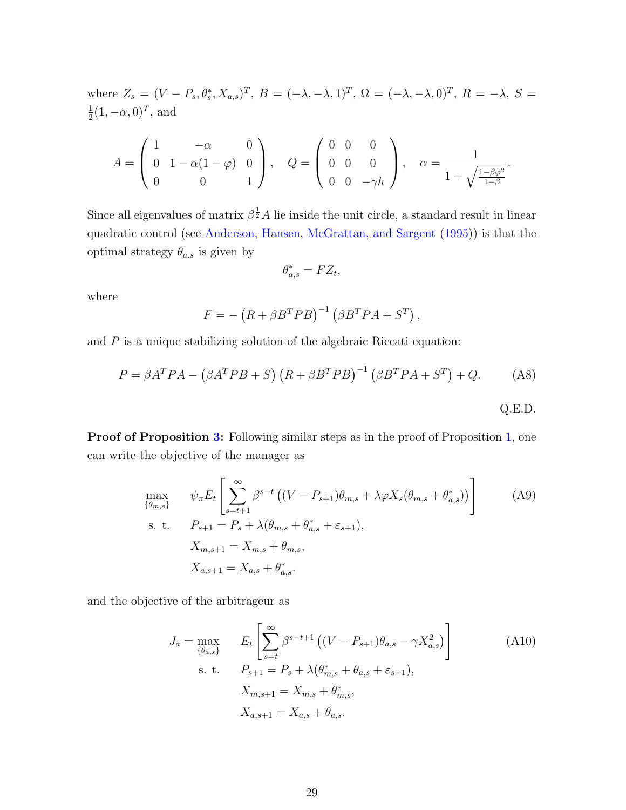where  $Z_s = (V - P_s, \theta_s^*, X_{a,s})^T$ ,  $B = (-\lambda, -\lambda, 1)^T$ ,  $\Omega = (-\lambda, -\lambda, 0)^T$ ,  $R = -\lambda$ ,  $S =$ 1  $\frac{1}{2}(1, -\alpha, 0)^T$ , and

$$
A = \begin{pmatrix} 1 & -\alpha & 0 \\ 0 & 1 - \alpha(1 - \varphi) & 0 \\ 0 & 0 & 1 \end{pmatrix}, \quad Q = \begin{pmatrix} 0 & 0 & 0 \\ 0 & 0 & 0 \\ 0 & 0 & -\gamma h \end{pmatrix}, \quad \alpha = \frac{1}{1 + \sqrt{\frac{1 - \beta \varphi^2}{1 - \beta}}}.
$$

Since all eigenvalues of matrix  $\beta^{\frac{1}{2}}A$  lie inside the unit circle, a standard result in linear quadratic control (see [Anderson, Hansen, McGrattan, and Sargent](#page-26-11) [\(1995\)](#page-26-11)) is that the optimal strategy  $\theta_{a,s}$  is given by

$$
\theta_{a,s}^* = FZ_t,
$$

where

$$
F = -\left(R + \beta B^T P B\right)^{-1} \left(\beta B^T P A + S^T\right),
$$

and  $P$  is a unique stabilizing solution of the algebraic Riccati equation:

$$
P = \beta A^T P A - (\beta A^T P B + S) (R + \beta B^T P B)^{-1} (\beta B^T P A + S^T) + Q.
$$
 (A8)  
Q.E.D.

Proof of Proposition [3:](#page-19-3) Following similar steps as in the proof of Proposition [1,](#page-9-1) one can write the objective of the manager as

<span id="page-30-0"></span>
$$
\max_{\{\theta_{m,s}\}} \psi_{\pi} E_t \left[ \sum_{s=t+1}^{\infty} \beta^{s-t} \left( (V - P_{s+1}) \theta_{m,s} + \lambda \varphi X_s (\theta_{m,s} + \theta_{a,s}^*) \right) \right]
$$
\ns. t.  $P_{s+1} = P_s + \lambda (\theta_{m,s} + \theta_{a,s}^* + \varepsilon_{s+1}),$   
\n
$$
X_{m,s+1} = X_{m,s} + \theta_{m,s},
$$
  
\n
$$
X_{a,s+1} = X_{a,s} + \theta_{a,s}^*.
$$
\n(A9)

and the objective of the arbitrageur as

<span id="page-30-1"></span>
$$
J_a = \max_{\{\theta_{a,s}\}} \qquad E_t \left[ \sum_{s=t}^{\infty} \beta^{s-t+1} \left( (V - P_{s+1}) \theta_{a,s} - \gamma X_{a,s}^2 \right) \right]
$$
\n
$$
\text{s. t.} \qquad P_{s+1} = P_s + \lambda (\theta_{m,s}^* + \theta_{a,s} + \varepsilon_{s+1}),
$$
\n
$$
X_{m,s+1} = X_{m,s} + \theta_{m,s}^*,
$$
\n
$$
X_{a,s+1} = X_{a,s} + \theta_{a,s}.
$$
\n
$$
(A10)
$$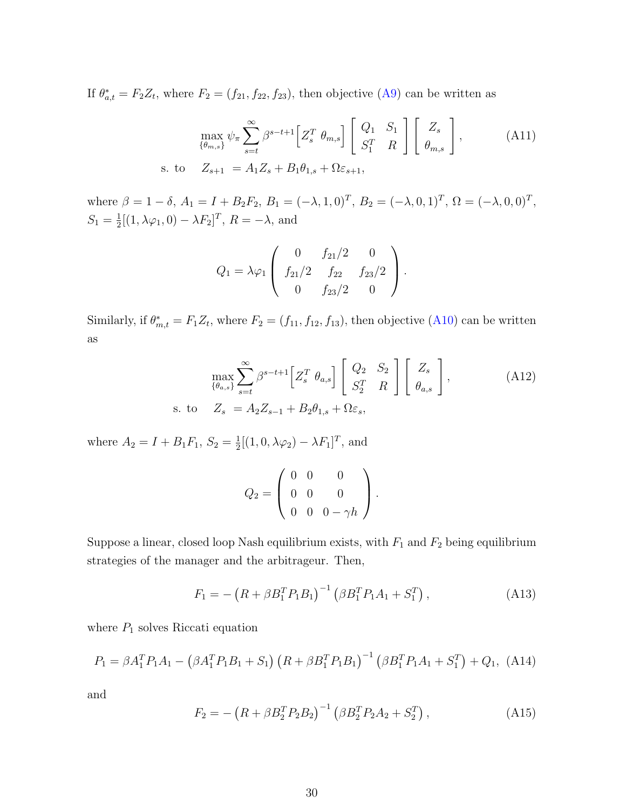If  $\theta_{a,t}^* = F_2 Z_t$ , where  $F_2 = (f_{21}, f_{22}, f_{23})$ , then objective [\(A9\)](#page-30-0) can be written as

$$
\max_{\{\theta_{m,s}\}} \psi_{\pi} \sum_{s=t}^{\infty} \beta^{s-t+1} \Big[ Z_s^T \ \theta_{m,s} \Big] \left[ \begin{array}{cc} Q_1 & S_1 \\ S_1^T & R \end{array} \right] \left[ \begin{array}{c} Z_s \\ \theta_{m,s} \end{array} \right],\tag{A11}
$$
\n
$$
\text{s. to} \quad Z_{s+1} = A_1 Z_s + B_1 \theta_{1,s} + \Omega \varepsilon_{s+1},
$$

where  $\beta = 1 - \delta$ ,  $A_1 = I + B_2 F_2$ ,  $B_1 = (-\lambda, 1, 0)^T$ ,  $B_2 = (-\lambda, 0, 1)^T$ ,  $\Omega = (-\lambda, 0, 0)^T$ ,  $S_1 = \frac{1}{2}$  $\frac{1}{2}[(1, \lambda\varphi_1, 0) - \lambda F_2]^T$ ,  $R = -\lambda$ , and

$$
Q_1 = \lambda \varphi_1 \left( \begin{array}{ccc} 0 & f_{21}/2 & 0 \\ f_{21}/2 & f_{22} & f_{23}/2 \\ 0 & f_{23}/2 & 0 \end{array} \right).
$$

Similarly, if  $\theta_{m,t}^* = F_1 Z_t$ , where  $F_2 = (f_{11}, f_{12}, f_{13})$ , then objective [\(A10\)](#page-30-1) can be written as

$$
\max_{\{\theta_{a,s}\}} \sum_{s=t}^{\infty} \beta^{s-t+1} \left[ Z_s^T \ \theta_{a,s} \right] \left[ \begin{array}{cc} Q_2 & S_2 \\ S_2^T & R \end{array} \right] \left[ \begin{array}{c} Z_s \\ \theta_{a,s} \end{array} \right],\tag{A12}
$$
\n
$$
\text{s. to} \quad Z_s = A_2 Z_{s-1} + B_2 \theta_{1,s} + \Omega \varepsilon_s,
$$

where  $A_2 = I + B_1 F_1, S_2 = \frac{1}{2}$  $\frac{1}{2}[(1,0,\lambda\varphi_2)-\lambda F_1]^T$ , and

$$
Q_2 = \left(\begin{array}{ccc} 0 & 0 & 0 \\ 0 & 0 & 0 \\ 0 & 0 & 0 - \gamma h \end{array}\right).
$$

Suppose a linear, closed loop Nash equilibrium exists, with  $F_1$  and  $F_2$  being equilibrium strategies of the manager and the arbitrageur. Then,

<span id="page-31-0"></span>
$$
F_1 = -\left(R + \beta B_1^T P_1 B_1\right)^{-1} \left(\beta B_1^T P_1 A_1 + S_1^T\right),\tag{A13}
$$

where  $P_1$  solves Riccati equation

$$
P_1 = \beta A_1^T P_1 A_1 - \left(\beta A_1^T P_1 B_1 + S_1\right) \left(R + \beta B_1^T P_1 B_1\right)^{-1} \left(\beta B_1^T P_1 A_1 + S_1^T\right) + Q_1, \tag{A14}
$$

and

$$
F_2 = -\left(R + \beta B_2^T P_2 B_2\right)^{-1} \left(\beta B_2^T P_2 A_2 + S_2^T\right),\tag{A15}
$$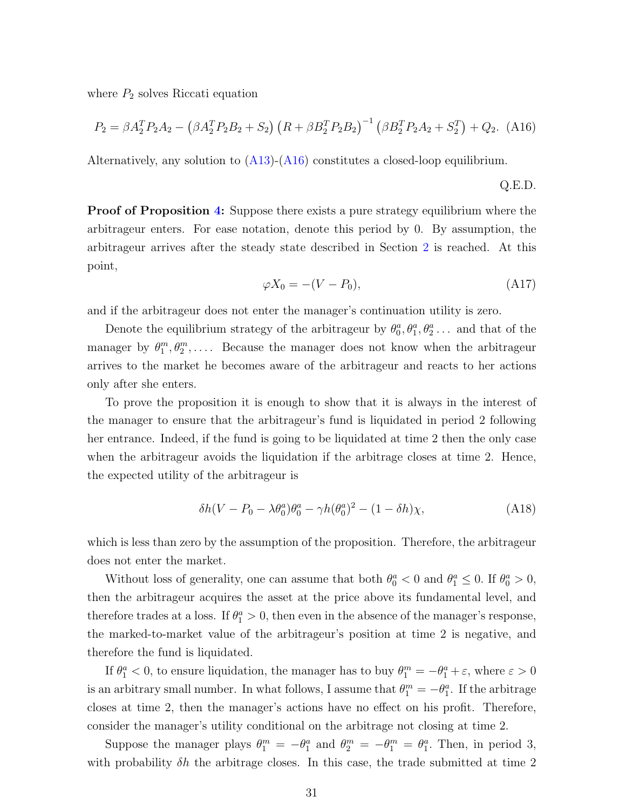where  $P_2$  solves Riccati equation

<span id="page-32-0"></span>
$$
P_2 = \beta A_2^T P_2 A_2 - (\beta A_2^T P_2 B_2 + S_2) (R + \beta B_2^T P_2 B_2)^{-1} (\beta B_2^T P_2 A_2 + S_2^T) + Q_2.
$$
 (A16)

Alternatively, any solution to [\(A13\)](#page-31-0)-[\(A16\)](#page-32-0) constitutes a closed-loop equilibrium.

Q.E.D.

**Proof of Proposition [4:](#page-24-0)** Suppose there exists a pure strategy equilibrium where the arbitrageur enters. For ease notation, denote this period by 0. By assumption, the arbitrageur arrives after the steady state described in Section [2](#page-9-0) is reached. At this point,

$$
\varphi X_0 = -(V - P_0),\tag{A17}
$$

and if the arbitrageur does not enter the manager's continuation utility is zero.

Denote the equilibrium strategy of the arbitrageur by  $\theta_0^a, \theta_1^a, \theta_2^a \dots$  and that of the manager by  $\theta_1^m, \theta_2^m, \ldots$ . Because the manager does not know when the arbitrageur arrives to the market he becomes aware of the arbitrageur and reacts to her actions only after she enters.

To prove the proposition it is enough to show that it is always in the interest of the manager to ensure that the arbitrageur's fund is liquidated in period 2 following her entrance. Indeed, if the fund is going to be liquidated at time 2 then the only case when the arbitrageur avoids the liquidation if the arbitrage closes at time 2. Hence, the expected utility of the arbitrageur is

$$
\delta h(V - P_0 - \lambda \theta_0^a) \theta_0^a - \gamma h(\theta_0^a)^2 - (1 - \delta h)\chi,\tag{A18}
$$

which is less than zero by the assumption of the proposition. Therefore, the arbitrageur does not enter the market.

Without loss of generality, one can assume that both  $\theta_0^a < 0$  and  $\theta_1^a \leq 0$ . If  $\theta_0^a > 0$ , then the arbitrageur acquires the asset at the price above its fundamental level, and therefore trades at a loss. If  $\theta_1^a > 0$ , then even in the absence of the manager's response, the marked-to-market value of the arbitrageur's position at time 2 is negative, and therefore the fund is liquidated.

If  $\theta_1^a < 0$ , to ensure liquidation, the manager has to buy  $\theta_1^m = -\theta_1^a + \varepsilon$ , where  $\varepsilon > 0$ is an arbitrary small number. In what follows, I assume that  $\theta_1^m = -\theta_1^a$ . If the arbitrage closes at time 2, then the manager's actions have no effect on his profit. Therefore, consider the manager's utility conditional on the arbitrage not closing at time 2.

Suppose the manager plays  $\theta_1^m = -\theta_1^a$  and  $\theta_2^m = -\theta_1^m = \theta_1^a$ . Then, in period 3, with probability  $\delta h$  the arbitrage closes. In this case, the trade submitted at time 2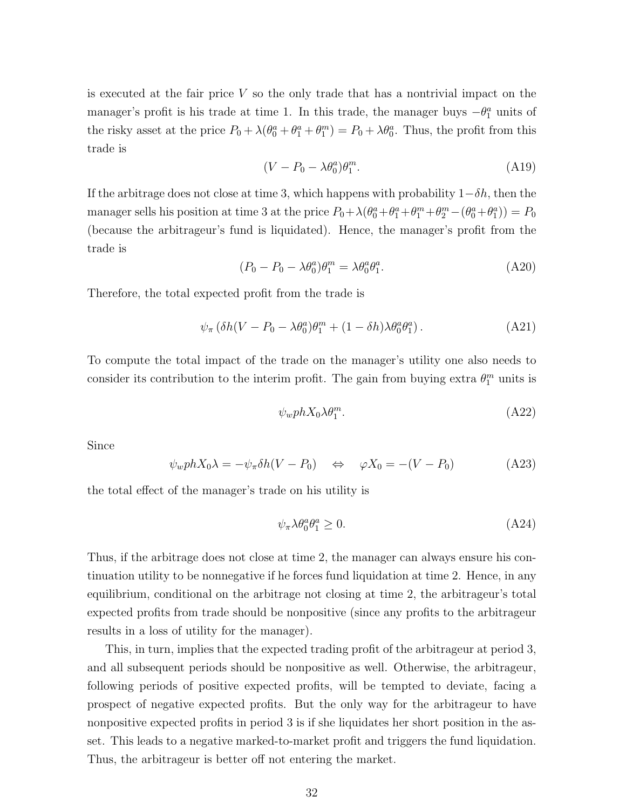is executed at the fair price  $V$  so the only trade that has a nontrivial impact on the manager's profit is his trade at time 1. In this trade, the manager buys  $-\theta_1^a$  units of the risky asset at the price  $P_0 + \lambda(\theta_0^a + \theta_1^a + \theta_1^m) = P_0 + \lambda\theta_0^a$ . Thus, the profit from this trade is

$$
(V - P_0 - \lambda \theta_0^a) \theta_1^m. \tag{A19}
$$

If the arbitrage does not close at time 3, which happens with probability  $1-\delta h$ , then the manager sells his position at time 3 at the price  $P_0 + \lambda(\theta_0^a + \theta_1^a + \theta_1^m + \theta_2^m - (\theta_0^a + \theta_1^a)) = P_0$ (because the arbitrageur's fund is liquidated). Hence, the manager's profit from the trade is

$$
(P_0 - P_0 - \lambda \theta_0^a) \theta_1^m = \lambda \theta_0^a \theta_1^a.
$$
 (A20)

Therefore, the total expected profit from the trade is

$$
\psi_{\pi} \left( \delta h (V - P_0 - \lambda \theta_0^a) \theta_1^m + (1 - \delta h) \lambda \theta_0^a \theta_1^a \right). \tag{A21}
$$

To compute the total impact of the trade on the manager's utility one also needs to consider its contribution to the interim profit. The gain from buying extra  $\theta_1^m$  units is

$$
\psi_w ph X_0 \lambda \theta_1^m. \tag{A22}
$$

Since

$$
\psi_w ph X_0 \lambda = -\psi_\pi \delta h (V - P_0) \quad \Leftrightarrow \quad \varphi X_0 = -(V - P_0) \tag{A23}
$$

the total effect of the manager's trade on his utility is

$$
\psi_{\pi} \lambda \theta_0^a \theta_1^a \ge 0. \tag{A24}
$$

Thus, if the arbitrage does not close at time 2, the manager can always ensure his continuation utility to be nonnegative if he forces fund liquidation at time 2. Hence, in any equilibrium, conditional on the arbitrage not closing at time 2, the arbitrageur's total expected profits from trade should be nonpositive (since any profits to the arbitrageur results in a loss of utility for the manager).

This, in turn, implies that the expected trading profit of the arbitrageur at period 3, and all subsequent periods should be nonpositive as well. Otherwise, the arbitrageur, following periods of positive expected profits, will be tempted to deviate, facing a prospect of negative expected profits. But the only way for the arbitrageur to have nonpositive expected profits in period 3 is if she liquidates her short position in the asset. This leads to a negative marked-to-market profit and triggers the fund liquidation. Thus, the arbitrageur is better off not entering the market.